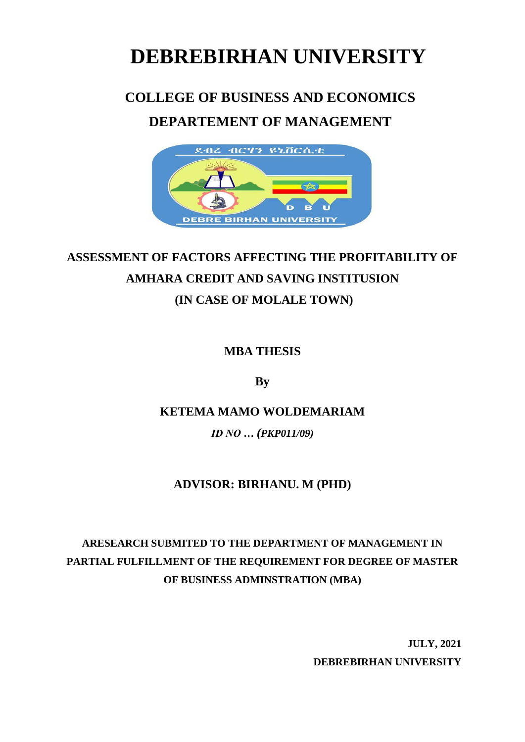# **DEBREBIRHAN UNIVERSITY**

# **COLLEGE OF BUSINESS AND ECONOMICS**

# **DEPARTEMENT OF MANAGEMENT**



# **ASSESSMENT OF FACTORS AFFECTING THE PROFITABILITY OF AMHARA CREDIT AND SAVING INSTITUSION (IN CASE OF MOLALE TOWN)**

**MBA THESIS**

**By**

### **KETEMA MAMO WOLDEMARIAM**

*ID NO … (PKP011/09)*

## **ADVISOR: BIRHANU. M (PHD)**

# **ARESEARCH SUBMITED TO THE DEPARTMENT OF MANAGEMENT IN PARTIAL FULFILLMENT OF THE REQUIREMENT FOR DEGREE OF MASTER OF BUSINESS ADMINSTRATION (MBA)**

 **JULY, 2021 DEBREBIRHAN UNIVERSITY**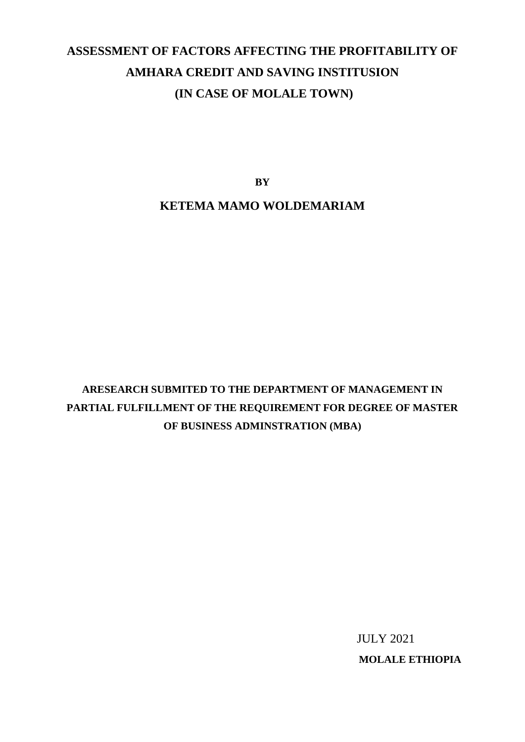# **ASSESSMENT OF FACTORS AFFECTING THE PROFITABILITY OF AMHARA CREDIT AND SAVING INSTITUSION (IN CASE OF MOLALE TOWN)**

**BY**

#### **KETEMA MAMO WOLDEMARIAM**

**ARESEARCH SUBMITED TO THE DEPARTMENT OF MANAGEMENT IN PARTIAL FULFILLMENT OF THE REQUIREMENT FOR DEGREE OF MASTER OF BUSINESS ADMINSTRATION (MBA)**

> JULY 2021  **MOLALE ETHIOPIA**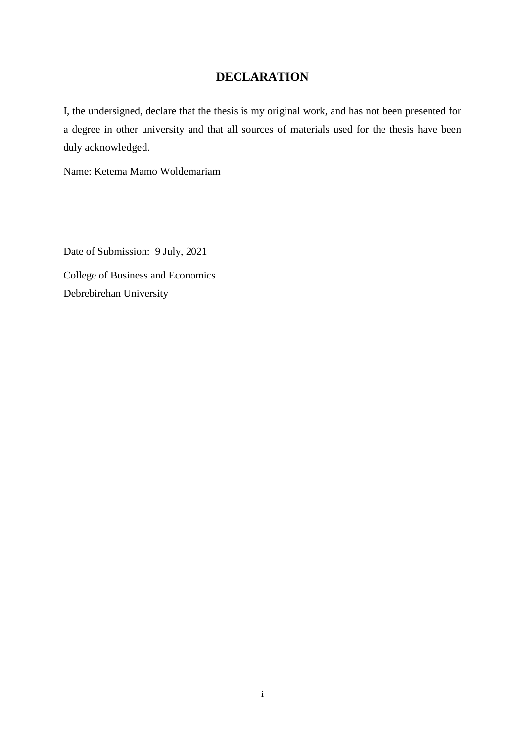### **DECLARATION**

I, the undersigned, declare that the thesis is my original work, and has not been presented for a degree in other university and that all sources of materials used for the thesis have been duly acknowledged.

Name: Ketema Mamo Woldemariam

Date of Submission: 9 July, 2021 College of Business and Economics Debrebirehan University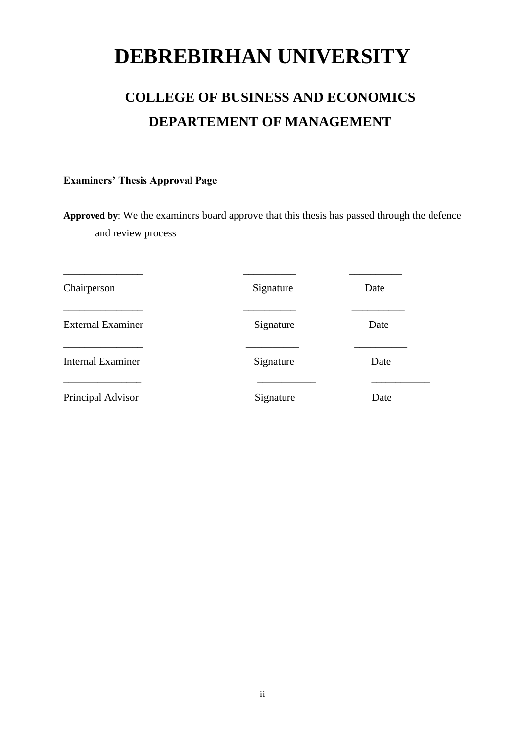# **DEBREBIRHAN UNIVERSITY**

# **COLLEGE OF BUSINESS AND ECONOMICS DEPARTEMENT OF MANAGEMENT**

#### **Examiners' Thesis Approval Page**

**Approved by**: We the examiners board approve that this thesis has passed through the defence and review process

| Chairperson              | Signature | Date |
|--------------------------|-----------|------|
| <b>External Examiner</b> | Signature | Date |
| <b>Internal Examiner</b> | Signature | Date |
| Principal Advisor        | Signature | Date |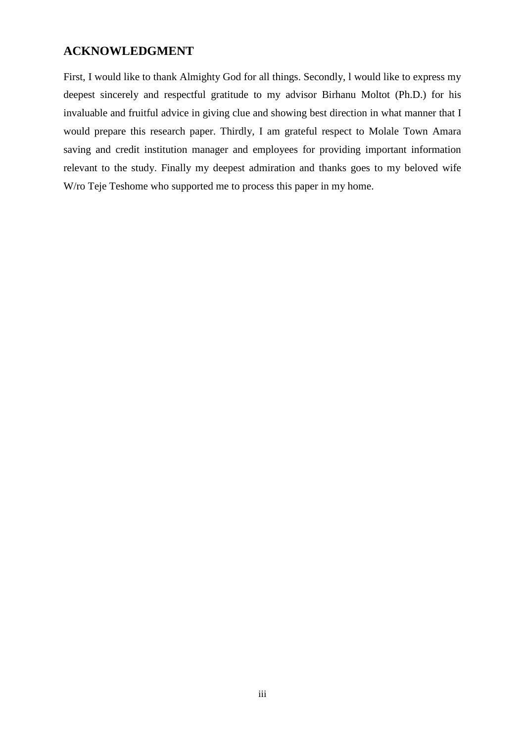#### <span id="page-5-0"></span>**ACKNOWLEDGMENT**

First, I would like to thank Almighty God for all things. Secondly, l would like to express my deepest sincerely and respectful gratitude to my advisor Birhanu Moltot (Ph.D.) for his invaluable and fruitful advice in giving clue and showing best direction in what manner that I would prepare this research paper. Thirdly, I am grateful respect to Molale Town Amara saving and credit institution manager and employees for providing important information relevant to the study. Finally my deepest admiration and thanks goes to my beloved wife W/ro Teje Teshome who supported me to process this paper in my home.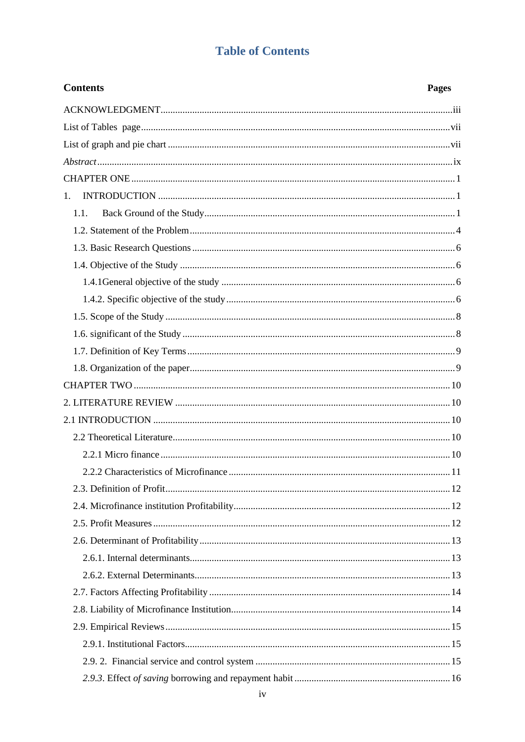### **Table of Contents**

| <b>Contents</b> | <b>Pages</b> |
|-----------------|--------------|
|                 |              |
|                 |              |
|                 |              |
|                 |              |
|                 |              |
| 1.              |              |
| 1.1.            |              |
|                 |              |
|                 |              |
|                 |              |
|                 |              |
|                 |              |
|                 |              |
|                 |              |
|                 |              |
|                 |              |
|                 |              |
|                 |              |
|                 |              |
|                 |              |
|                 |              |
|                 |              |
|                 |              |
|                 |              |
|                 |              |
|                 |              |
|                 |              |
|                 |              |
|                 |              |
|                 |              |
|                 |              |
|                 |              |
|                 |              |
|                 |              |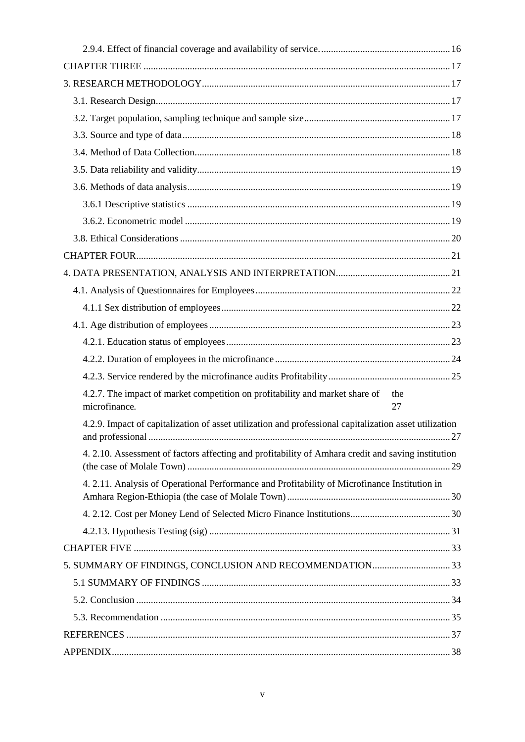| 4.2.7. The impact of market competition on profitability and market share of<br>the<br>microfinance.<br>27 |
|------------------------------------------------------------------------------------------------------------|
| 4.2.9. Impact of capitalization of asset utilization and professional capitalization asset utilization     |
| 4. 2.10. Assessment of factors affecting and profitability of Amhara credit and saving institution         |
| 4. 2.11. Analysis of Operational Performance and Profitability of Microfinance Institution in              |
|                                                                                                            |
|                                                                                                            |
|                                                                                                            |
| 5. SUMMARY OF FINDINGS, CONCLUSION AND RECOMMENDATION33                                                    |
|                                                                                                            |
|                                                                                                            |
|                                                                                                            |
|                                                                                                            |
|                                                                                                            |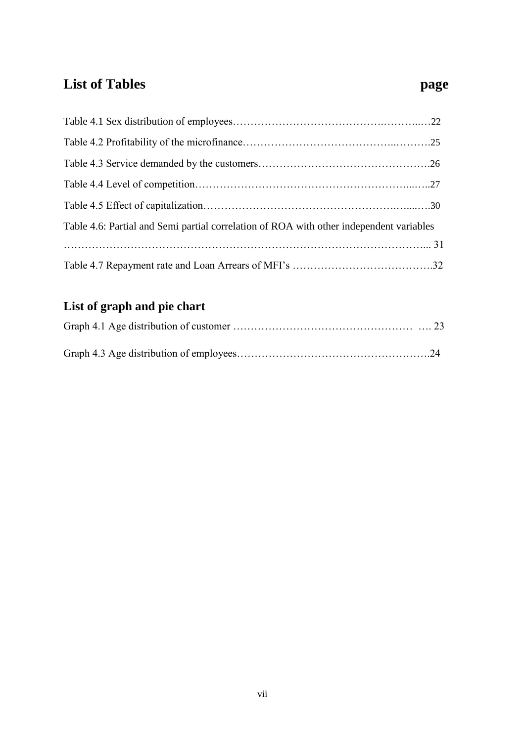# <span id="page-8-0"></span>**List of Tables page**

| Table 4.6: Partial and Semi partial correlation of ROA with other independent variables |
|-----------------------------------------------------------------------------------------|
|                                                                                         |
|                                                                                         |

# <span id="page-8-1"></span>**List of graph and pie chart**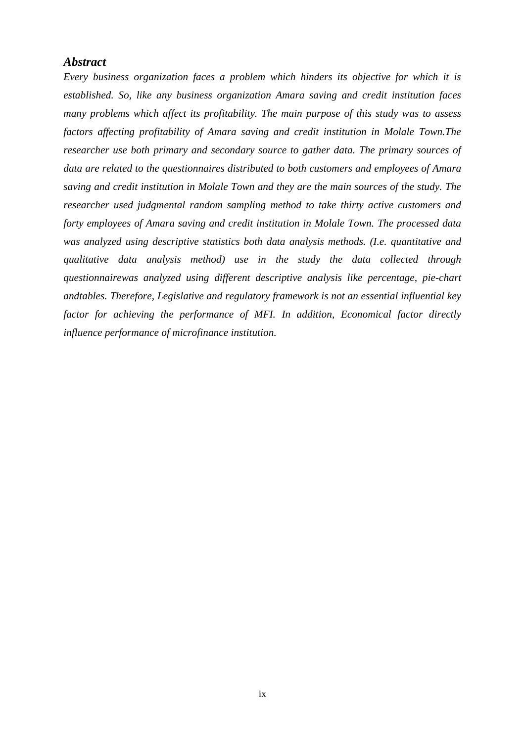#### <span id="page-9-0"></span>*Abstract*

*Every business organization faces a problem which hinders its objective for which it is established. So, like any business organization Amara saving and credit institution faces many problems which affect its profitability. The main purpose of this study was to assess factors affecting profitability of Amara saving and credit institution in Molale Town.The researcher use both primary and secondary source to gather data. The primary sources of data are related to the questionnaires distributed to both customers and employees of Amara saving and credit institution in Molale Town and they are the main sources of the study. The researcher used judgmental random sampling method to take thirty active customers and forty employees of Amara saving and credit institution in Molale Town. The processed data was analyzed using descriptive statistics both data analysis methods. (I.e. quantitative and qualitative data analysis method) use in the study the data collected through questionnairewas analyzed using different descriptive analysis like percentage, pie-chart andtables. Therefore, Legislative and regulatory framework is not an essential influential key factor for achieving the performance of MFI. In addition, Economical factor directly influence performance of microfinance institution.*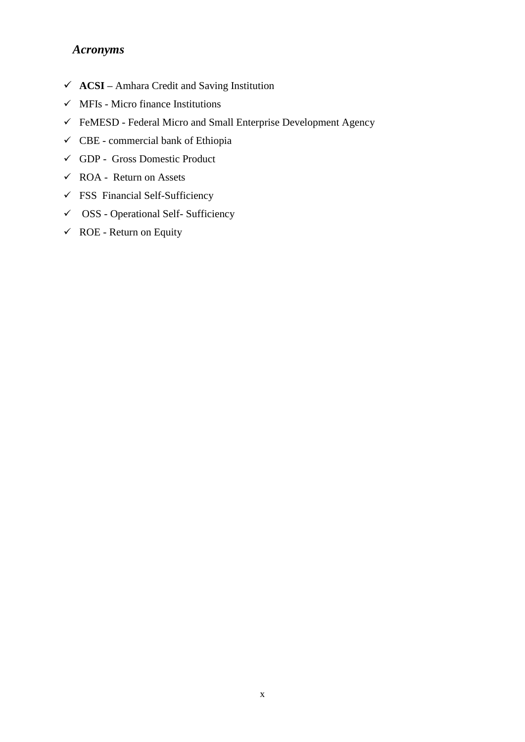#### *Acronyms*

- **ACSI –** Amhara Credit and Saving Institution
- $\checkmark$  MFIs Micro finance Institutions
- $\checkmark$  FeMESD Federal Micro and Small Enterprise Development Agency
- $\checkmark$  CBE commercial bank of Ethiopia
- GDP Gross Domestic Product
- $\checkmark$  ROA Return on Assets
- $\checkmark$  FSS Financial Self-Sufficiency
- $\checkmark$  OSS Operational Self- Sufficiency
- $\checkmark$  ROE Return on Equity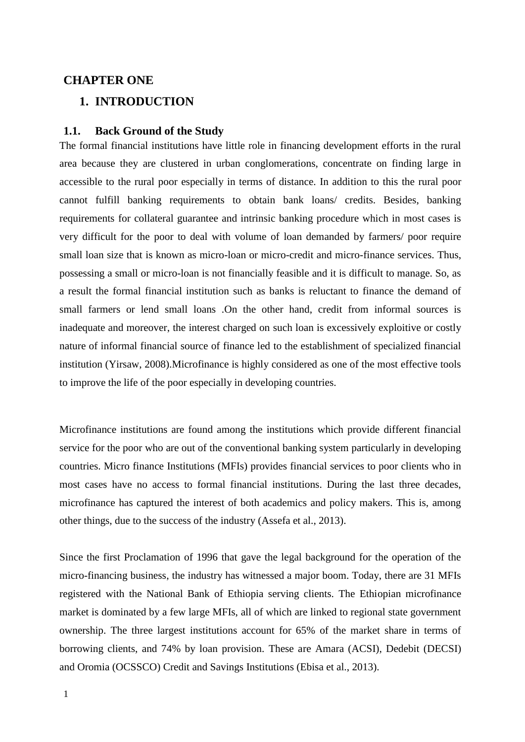#### <span id="page-11-0"></span>**CHAPTER ONE**

#### <span id="page-11-1"></span>**1. INTRODUCTION**

#### <span id="page-11-2"></span>**1.1. Back Ground of the Study**

The formal financial institutions have little role in financing development efforts in the rural area because they are clustered in urban conglomerations, concentrate on finding large in accessible to the rural poor especially in terms of distance. In addition to this the rural poor cannot fulfill banking requirements to obtain bank loans/ credits. Besides, banking requirements for collateral guarantee and intrinsic banking procedure which in most cases is very difficult for the poor to deal with volume of loan demanded by farmers/ poor require small loan size that is known as micro-loan or micro-credit and micro-finance services. Thus, possessing a small or micro-loan is not financially feasible and it is difficult to manage. So, as a result the formal financial institution such as banks is reluctant to finance the demand of small farmers or lend small loans .On the other hand, credit from informal sources is inadequate and moreover, the interest charged on such loan is excessively exploitive or costly nature of informal financial source of finance led to the establishment of specialized financial institution (Yirsaw, 2008).Microfinance is highly considered as one of the most effective tools to improve the life of the poor especially in developing countries.

Microfinance institutions are found among the institutions which provide different financial service for the poor who are out of the conventional banking system particularly in developing countries. Micro finance Institutions (MFIs) provides financial services to poor clients who in most cases have no access to formal financial institutions. During the last three decades, microfinance has captured the interest of both academics and policy makers. This is, among other things, due to the success of the industry (Assefa et al., 2013).

Since the first Proclamation of 1996 that gave the legal background for the operation of the micro-financing business, the industry has witnessed a major boom. Today, there are 31 MFIs registered with the National Bank of Ethiopia serving clients. The Ethiopian microfinance market is dominated by a few large MFIs, all of which are linked to regional state government ownership. The three largest institutions account for 65% of the market share in terms of borrowing clients, and 74% by loan provision. These are Amara (ACSI), Dedebit (DECSI) and Oromia (OCSSCO) Credit and Savings Institutions (Ebisa et al., 2013).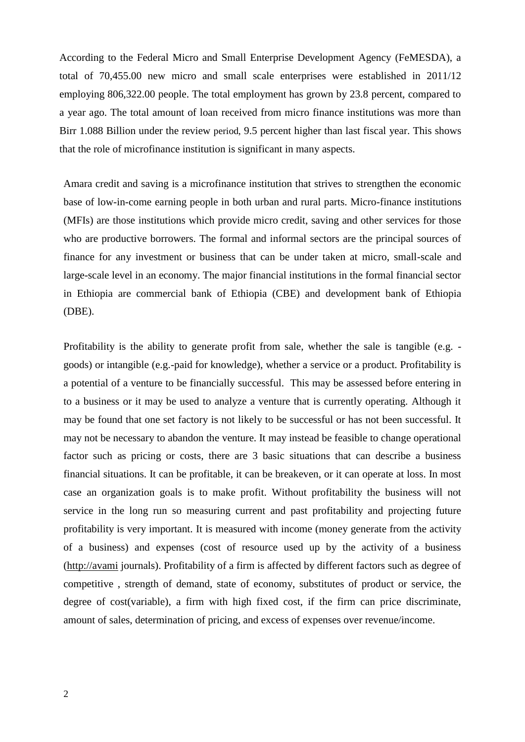According to the Federal Micro and Small Enterprise Development Agency (FeMESDA), a total of 70,455.00 new micro and small scale enterprises were established in 2011/12 employing 806,322.00 people. The total employment has grown by 23.8 percent, compared to a year ago. The total amount of loan received from micro finance institutions was more than Birr 1.088 Billion under the review period, 9.5 percent higher than last fiscal year. This shows that the role of microfinance institution is significant in many aspects.

Amara credit and saving is a microfinance institution that strives to strengthen the economic base of low-in-come earning people in both urban and rural parts. Micro-finance institutions (MFIs) are those institutions which provide micro credit, saving and other services for those who are productive borrowers. The formal and informal sectors are the principal sources of finance for any investment or business that can be under taken at micro, small-scale and large-scale level in an economy. The major financial institutions in the formal financial sector in Ethiopia are commercial bank of Ethiopia (CBE) and development bank of Ethiopia (DBE).

Profitability is the ability to generate profit from sale, whether the sale is tangible (e.g. goods) or intangible (e.g.-paid for knowledge), whether a service or a product. Profitability is a potential of a venture to be financially successful. This may be assessed before entering in to a business or it may be used to analyze a venture that is currently operating. Although it may be found that one set factory is not likely to be successful or has not been successful. It may not be necessary to abandon the venture. It may instead be feasible to change operational factor such as pricing or costs, there are 3 basic situations that can describe a business financial situations. It can be profitable, it can be breakeven, or it can operate at loss. In most case an organization goals is to make profit. Without profitability the business will not service in the long run so measuring current and past profitability and projecting future profitability is very important. It is measured with income (money generate from the activity of a business) and expenses (cost of resource used up by the activity of a business [\(http://avami](http://avami/) journals). Profitability of a firm is affected by different factors such as degree of competitive , strength of demand, state of economy, substitutes of product or service, the degree of cost(variable), a firm with high fixed cost, if the firm can price discriminate, amount of sales, determination of pricing, and excess of expenses over revenue/income.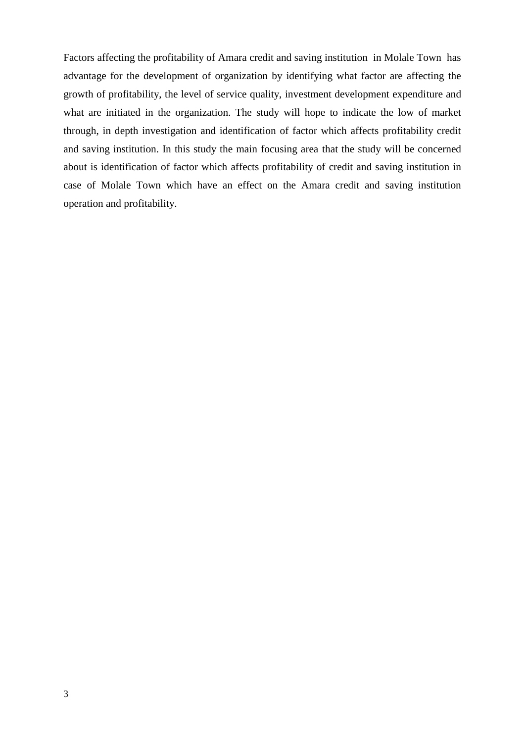Factors affecting the profitability of Amara credit and saving institution in Molale Town has advantage for the development of organization by identifying what factor are affecting the growth of profitability, the level of service quality, investment development expenditure and what are initiated in the organization. The study will hope to indicate the low of market through, in depth investigation and identification of factor which affects profitability credit and saving institution. In this study the main focusing area that the study will be concerned about is identification of factor which affects profitability of credit and saving institution in case of Molale Town which have an effect on the Amara credit and saving institution operation and profitability.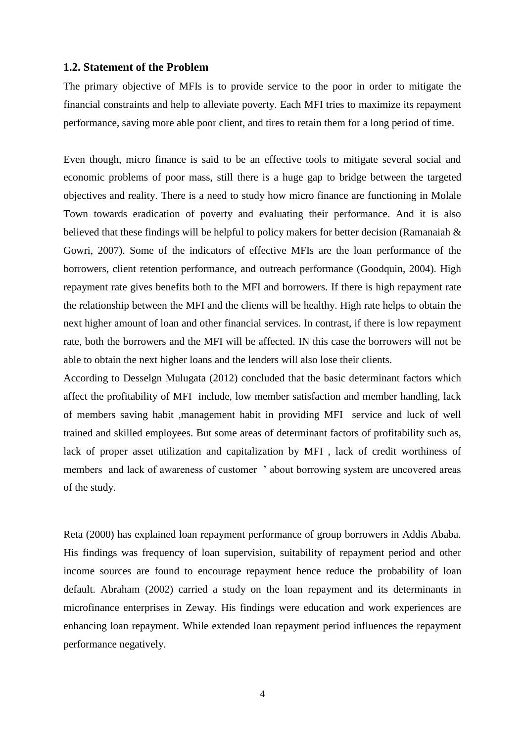#### <span id="page-14-0"></span>**1.2. Statement of the Problem**

The primary objective of MFIs is to provide service to the poor in order to mitigate the financial constraints and help to alleviate poverty. Each MFI tries to maximize its repayment performance, saving more able poor client, and tires to retain them for a long period of time.

Even though, micro finance is said to be an effective tools to mitigate several social and economic problems of poor mass, still there is a huge gap to bridge between the targeted objectives and reality. There is a need to study how micro finance are functioning in Molale Town towards eradication of poverty and evaluating their performance. And it is also believed that these findings will be helpful to policy makers for better decision (Ramanaiah  $\&$ Gowri, 2007). Some of the indicators of effective MFIs are the loan performance of the borrowers, client retention performance, and outreach performance (Goodquin, 2004). High repayment rate gives benefits both to the MFI and borrowers. If there is high repayment rate the relationship between the MFI and the clients will be healthy. High rate helps to obtain the next higher amount of loan and other financial services. In contrast, if there is low repayment rate, both the borrowers and the MFI will be affected. IN this case the borrowers will not be able to obtain the next higher loans and the lenders will also lose their clients.

According to Desselgn Mulugata (2012) concluded that the basic determinant factors which affect the profitability of MFI include, low member satisfaction and member handling, lack of members saving habit ,management habit in providing MFI service and luck of well trained and skilled employees. But some areas of determinant factors of profitability such as, lack of proper asset utilization and capitalization by MFI , lack of credit worthiness of members and lack of awareness of customer ' about borrowing system are uncovered areas of the study.

Reta (2000) has explained loan repayment performance of group borrowers in Addis Ababa. His findings was frequency of loan supervision, suitability of repayment period and other income sources are found to encourage repayment hence reduce the probability of loan default. Abraham (2002) carried a study on the loan repayment and its determinants in microfinance enterprises in Zeway. His findings were education and work experiences are enhancing loan repayment. While extended loan repayment period influences the repayment performance negatively.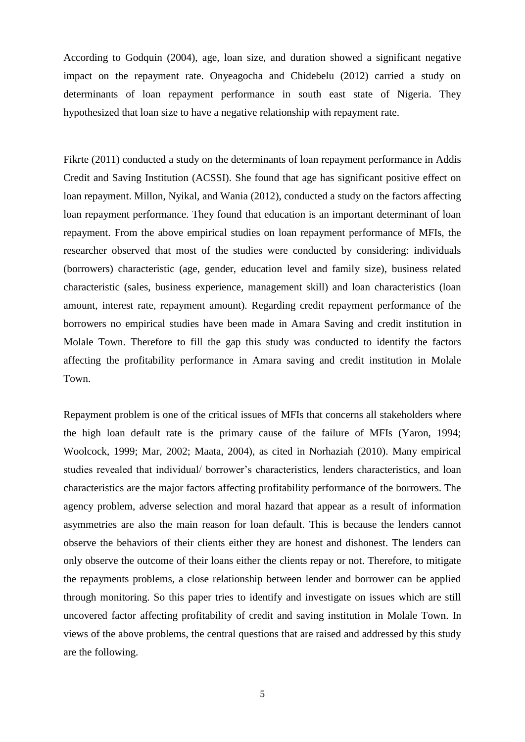According to Godquin (2004), age, loan size, and duration showed a significant negative impact on the repayment rate. Onyeagocha and Chidebelu (2012) carried a study on determinants of loan repayment performance in south east state of Nigeria. They hypothesized that loan size to have a negative relationship with repayment rate.

Fikrte (2011) conducted a study on the determinants of loan repayment performance in Addis Credit and Saving Institution (ACSSI). She found that age has significant positive effect on loan repayment. Millon, Nyikal, and Wania (2012), conducted a study on the factors affecting loan repayment performance. They found that education is an important determinant of loan repayment. From the above empirical studies on loan repayment performance of MFIs, the researcher observed that most of the studies were conducted by considering: individuals (borrowers) characteristic (age, gender, education level and family size), business related characteristic (sales, business experience, management skill) and loan characteristics (loan amount, interest rate, repayment amount). Regarding credit repayment performance of the borrowers no empirical studies have been made in Amara Saving and credit institution in Molale Town. Therefore to fill the gap this study was conducted to identify the factors affecting the profitability performance in Amara saving and credit institution in Molale Town.

Repayment problem is one of the critical issues of MFIs that concerns all stakeholders where the high loan default rate is the primary cause of the failure of MFIs (Yaron, 1994; Woolcock, 1999; Mar, 2002; Maata, 2004), as cited in Norhaziah (2010). Many empirical studies revealed that individual/ borrower's characteristics, lenders characteristics, and loan characteristics are the major factors affecting profitability performance of the borrowers. The agency problem, adverse selection and moral hazard that appear as a result of information asymmetries are also the main reason for loan default. This is because the lenders cannot observe the behaviors of their clients either they are honest and dishonest. The lenders can only observe the outcome of their loans either the clients repay or not. Therefore, to mitigate the repayments problems, a close relationship between lender and borrower can be applied through monitoring. So this paper tries to identify and investigate on issues which are still uncovered factor affecting profitability of credit and saving institution in Molale Town. In views of the above problems, the central questions that are raised and addressed by this study are the following.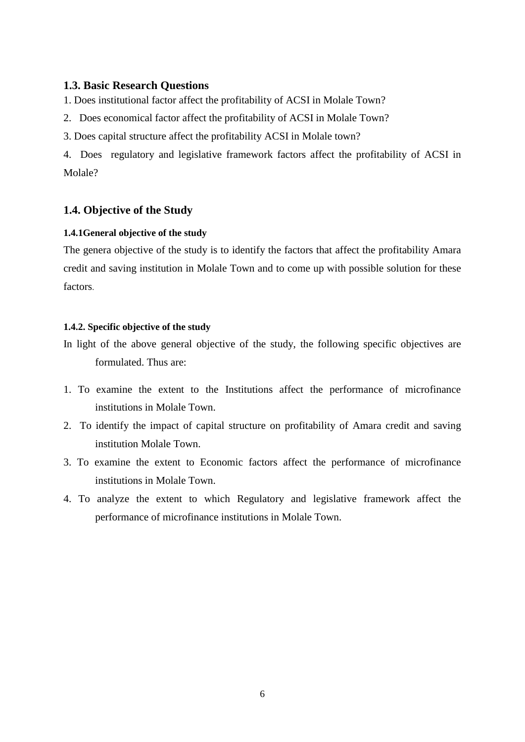#### <span id="page-16-0"></span>**1.3. Basic Research Questions**

1. Does institutional factor affect the profitability of ACSI in Molale Town?

- 2. Does economical factor affect the profitability of ACSI in Molale Town?
- 3. Does capital structure affect the profitability ACSI in Molale town?

4. Does regulatory and legislative framework factors affect the profitability of ACSI in Molale?

#### <span id="page-16-1"></span>**1.4. Objective of the Study**

#### <span id="page-16-2"></span>**1.4.1General objective of the study**

The genera objective of the study is to identify the factors that affect the profitability Amara credit and saving institution in Molale Town and to come up with possible solution for these factors.

#### <span id="page-16-3"></span>**1.4.2. Specific objective of the study**

In light of the above general objective of the study, the following specific objectives are formulated. Thus are:

- 1. To examine the extent to the Institutions affect the performance of microfinance institutions in Molale Town.
- 2. To identify the impact of capital structure on profitability of Amara credit and saving institution Molale Town.
- 3. To examine the extent to Economic factors affect the performance of microfinance institutions in Molale Town.
- 4. To analyze the extent to which Regulatory and legislative framework affect the performance of microfinance institutions in Molale Town.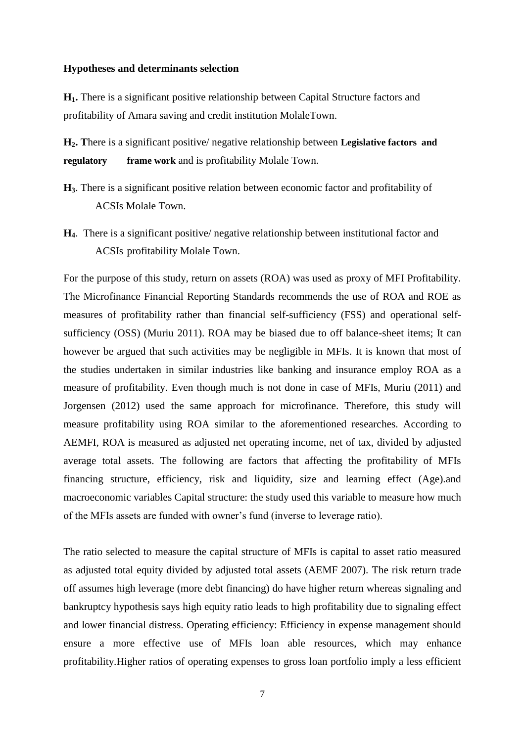#### **Hypotheses and determinants selection**

**H1.** There is a significant positive relationship between Capital Structure factors and profitability of Amara saving and credit institution MolaleTown.

**H2. T**here is a significant positive/ negative relationship between **Legislative factors and regulatory frame work** and is profitability Molale Town.

- **H3**. There is a significant positive relation between economic factor and profitability of ACSIs Molale Town.
- **H4**. There is a significant positive/ negative relationship between institutional factor and ACSIs profitability Molale Town.

For the purpose of this study, return on assets (ROA) was used as proxy of MFI Profitability. The Microfinance Financial Reporting Standards recommends the use of ROA and ROE as measures of profitability rather than financial self-sufficiency (FSS) and operational selfsufficiency (OSS) (Muriu 2011). ROA may be biased due to off balance-sheet items; It can however be argued that such activities may be negligible in MFIs. It is known that most of the studies undertaken in similar industries like banking and insurance employ ROA as a measure of profitability. Even though much is not done in case of MFIs, Muriu (2011) and Jorgensen (2012) used the same approach for microfinance. Therefore, this study will measure profitability using ROA similar to the aforementioned researches. According to AEMFI, ROA is measured as adjusted net operating income, net of tax, divided by adjusted average total assets. The following are factors that affecting the profitability of MFIs financing structure, efficiency, risk and liquidity, size and learning effect (Age).and macroeconomic variables Capital structure: the study used this variable to measure how much of the MFIs assets are funded with owner's fund (inverse to leverage ratio).

The ratio selected to measure the capital structure of MFIs is capital to asset ratio measured as adjusted total equity divided by adjusted total assets (AEMF 2007). The risk return trade off assumes high leverage (more debt financing) do have higher return whereas signaling and bankruptcy hypothesis says high equity ratio leads to high profitability due to signaling effect and lower financial distress. Operating efficiency: Efficiency in expense management should ensure a more effective use of MFIs loan able resources, which may enhance profitability.Higher ratios of operating expenses to gross loan portfolio imply a less efficient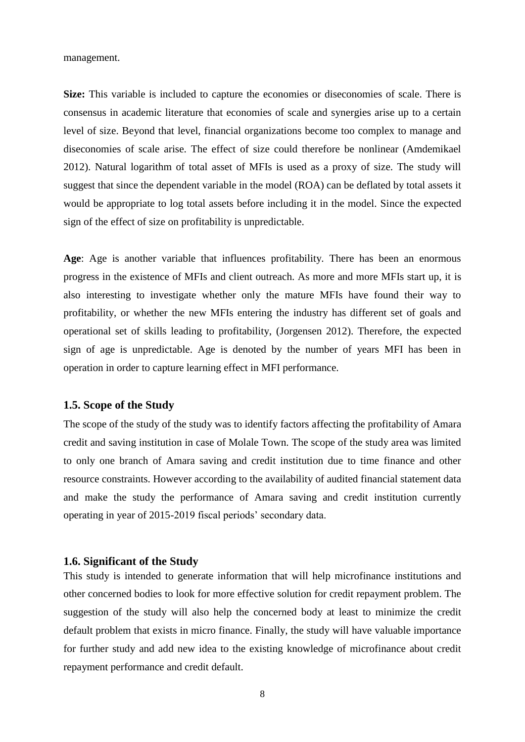management.

**Size:** This variable is included to capture the economies or diseconomies of scale. There is consensus in academic literature that economies of scale and synergies arise up to a certain level of size. Beyond that level, financial organizations become too complex to manage and diseconomies of scale arise. The effect of size could therefore be nonlinear (Amdemikael 2012). Natural logarithm of total asset of MFIs is used as a proxy of size. The study will suggest that since the dependent variable in the model (ROA) can be deflated by total assets it would be appropriate to log total assets before including it in the model. Since the expected sign of the effect of size on profitability is unpredictable.

**Age**: Age is another variable that influences profitability. There has been an enormous progress in the existence of MFIs and client outreach. As more and more MFIs start up, it is also interesting to investigate whether only the mature MFIs have found their way to profitability, or whether the new MFIs entering the industry has different set of goals and operational set of skills leading to profitability, (Jorgensen 2012). Therefore, the expected sign of age is unpredictable. Age is denoted by the number of years MFI has been in operation in order to capture learning effect in MFI performance.

#### <span id="page-18-0"></span>**1.5. Scope of the Study**

The scope of the study of the study was to identify factors affecting the profitability of Amara credit and saving institution in case of Molale Town. The scope of the study area was limited to only one branch of Amara saving and credit institution due to time finance and other resource constraints. However according to the availability of audited financial statement data and make the study the performance of Amara saving and credit institution currently operating in year of 2015-2019 fiscal periods' secondary data.

#### <span id="page-18-1"></span>**1.6. Significant of the Study**

This study is intended to generate information that will help microfinance institutions and other concerned bodies to look for more effective solution for credit repayment problem. The suggestion of the study will also help the concerned body at least to minimize the credit default problem that exists in micro finance. Finally, the study will have valuable importance for further study and add new idea to the existing knowledge of microfinance about credit repayment performance and credit default.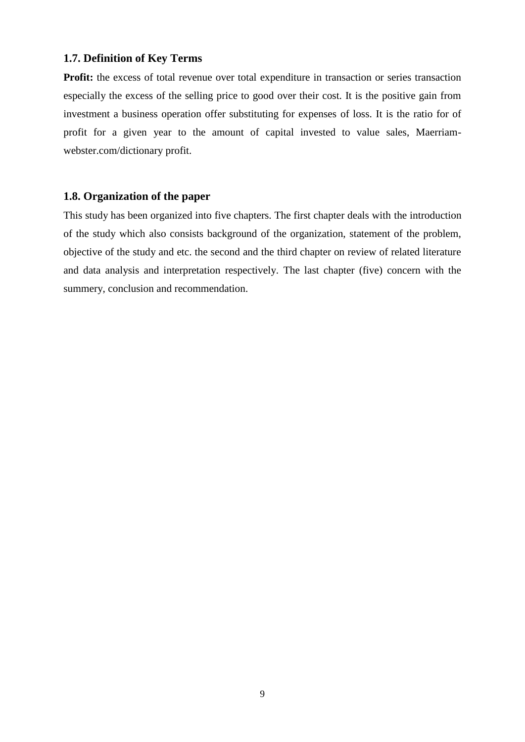#### <span id="page-19-0"></span>**1.7. Definition of Key Terms**

Profit: the excess of total revenue over total expenditure in transaction or series transaction especially the excess of the selling price to good over their cost. It is the positive gain from investment a business operation offer substituting for expenses of loss. It is the ratio for of profit for a given year to the amount of capital invested to value sales, Maerriamwebster.com/dictionary profit.

#### <span id="page-19-1"></span>**1.8. Organization of the paper**

This study has been organized into five chapters. The first chapter deals with the introduction of the study which also consists background of the organization, statement of the problem, objective of the study and etc. the second and the third chapter on review of related literature and data analysis and interpretation respectively. The last chapter (five) concern with the summery, conclusion and recommendation.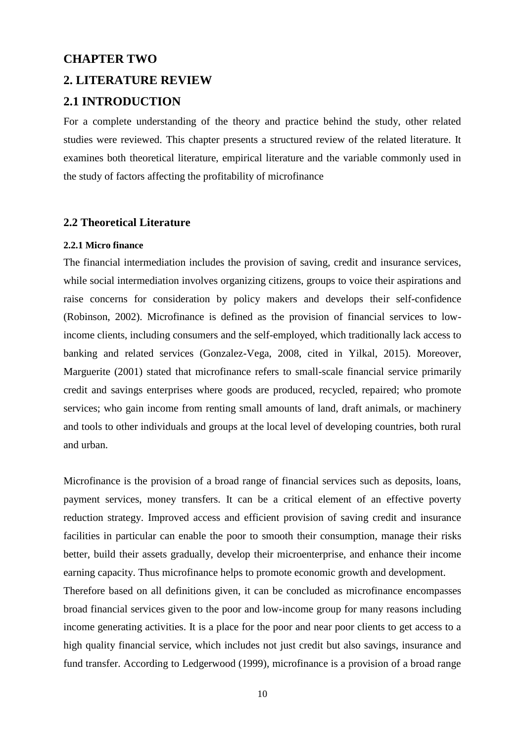#### <span id="page-20-0"></span>**CHAPTER TWO**

## <span id="page-20-2"></span><span id="page-20-1"></span>**2. LITERATURE REVIEW 2.1 INTRODUCTION**

For a complete understanding of the theory and practice behind the study, other related studies were reviewed. This chapter presents a structured review of the related literature. It examines both theoretical literature, empirical literature and the variable commonly used in the study of factors affecting the profitability of microfinance

#### <span id="page-20-3"></span>**2.2 Theoretical Literature**

#### <span id="page-20-4"></span>**2.2.1 Micro finance**

The financial intermediation includes the provision of saving, credit and insurance services, while social intermediation involves organizing citizens, groups to voice their aspirations and raise concerns for consideration by policy makers and develops their self-confidence (Robinson, 2002). Microfinance is defined as the provision of financial services to lowincome clients, including consumers and the self-employed, which traditionally lack access to banking and related services (Gonzalez-Vega, 2008, cited in Yilkal, 2015). Moreover, Marguerite (2001) stated that microfinance refers to small-scale financial service primarily credit and savings enterprises where goods are produced, recycled, repaired; who promote services; who gain income from renting small amounts of land, draft animals, or machinery and tools to other individuals and groups at the local level of developing countries, both rural and urban.

Microfinance is the provision of a broad range of financial services such as deposits, loans, payment services, money transfers. It can be a critical element of an effective poverty reduction strategy. Improved access and efficient provision of saving credit and insurance facilities in particular can enable the poor to smooth their consumption, manage their risks better, build their assets gradually, develop their microenterprise, and enhance their income earning capacity. Thus microfinance helps to promote economic growth and development.

Therefore based on all definitions given, it can be concluded as microfinance encompasses broad financial services given to the poor and low-income group for many reasons including income generating activities. It is a place for the poor and near poor clients to get access to a high quality financial service, which includes not just credit but also savings, insurance and fund transfer. According to Ledgerwood (1999), microfinance is a provision of a broad range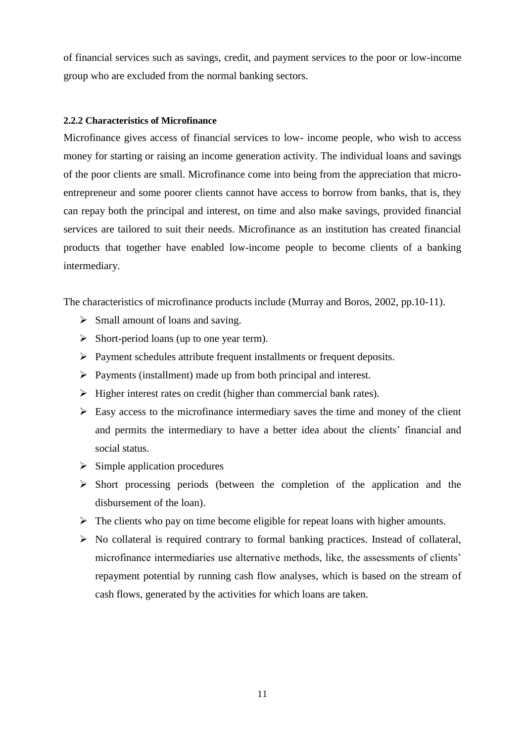of financial services such as savings, credit, and payment services to the poor or low-income group who are excluded from the normal banking sectors.

#### <span id="page-21-0"></span>**2.2.2 Characteristics of Microfinance**

Microfinance gives access of financial services to low- income people, who wish to access money for starting or raising an income generation activity. The individual loans and savings of the poor clients are small. Microfinance come into being from the appreciation that microentrepreneur and some poorer clients cannot have access to borrow from banks, that is, they can repay both the principal and interest, on time and also make savings, provided financial services are tailored to suit their needs. Microfinance as an institution has created financial products that together have enabled low-income people to become clients of a banking intermediary.

The characteristics of microfinance products include (Murray and Boros, 2002, pp.10-11).

- $\triangleright$  Small amount of loans and saving.
- $\triangleright$  Short-period loans (up to one year term).
- $\triangleright$  Payment schedules attribute frequent installments or frequent deposits.
- $\triangleright$  Payments (installment) made up from both principal and interest.
- $\triangleright$  Higher interest rates on credit (higher than commercial bank rates).
- $\triangleright$  Easy access to the microfinance intermediary saves the time and money of the client and permits the intermediary to have a better idea about the clients' financial and social status.
- $\triangleright$  Simple application procedures
- $\triangleright$  Short processing periods (between the completion of the application and the disbursement of the loan).
- $\triangleright$  The clients who pay on time become eligible for repeat loans with higher amounts.
- $\triangleright$  No collateral is required contrary to formal banking practices. Instead of collateral, microfinance intermediaries use alternative methods, like, the assessments of clients' repayment potential by running cash flow analyses, which is based on the stream of cash flows, generated by the activities for which loans are taken.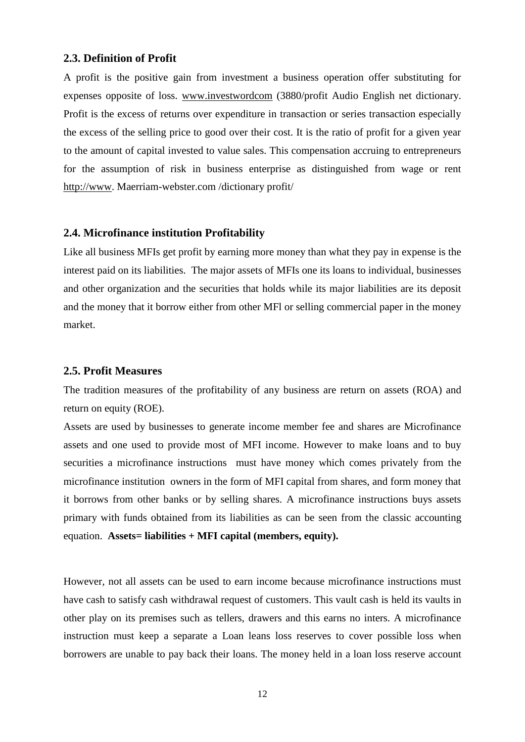#### <span id="page-22-0"></span>**2.3. Definition of Profit**

A profit is the positive gain from investment a business operation offer substituting for expenses opposite of loss. [www.investwordcom](http://www.investwordcom/) (3880/profit Audio English net dictionary. Profit is the excess of returns over expenditure in transaction or series transaction especially the excess of the selling price to good over their cost. It is the ratio of profit for a given year to the amount of capital invested to value sales. This compensation accruing to entrepreneurs for the assumption of risk in business enterprise as distinguished from wage or rent [http://www.](http://www/) Maerriam-webster.com /dictionary profit/

#### <span id="page-22-1"></span>**2.4. Microfinance institution Profitability**

Like all business MFIs get profit by earning more money than what they pay in expense is the interest paid on its liabilities. The major assets of MFIs one its loans to individual, businesses and other organization and the securities that holds while its major liabilities are its deposit and the money that it borrow either from other MFl or selling commercial paper in the money market.

#### <span id="page-22-2"></span>**2.5. Profit Measures**

The tradition measures of the profitability of any business are return on assets (ROA) and return on equity (ROE).

Assets are used by businesses to generate income member fee and shares are Microfinance assets and one used to provide most of MFI income. However to make loans and to buy securities a microfinance instructions must have money which comes privately from the microfinance institution owners in the form of MFI capital from shares, and form money that it borrows from other banks or by selling shares. A microfinance instructions buys assets primary with funds obtained from its liabilities as can be seen from the classic accounting equation. **Assets= liabilities + MFI capital (members, equity).** 

However, not all assets can be used to earn income because microfinance instructions must have cash to satisfy cash withdrawal request of customers. This vault cash is held its vaults in other play on its premises such as tellers, drawers and this earns no inters. A microfinance instruction must keep a separate a Loan leans loss reserves to cover possible loss when borrowers are unable to pay back their loans. The money held in a loan loss reserve account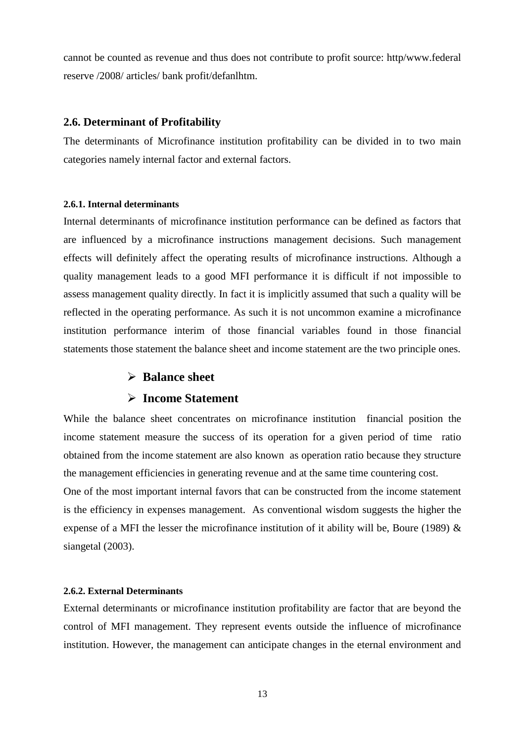cannot be counted as revenue and thus does not contribute to profit source: http/www.federal reserve /2008/ articles/ bank profit/defanlhtm.

#### <span id="page-23-0"></span>**2.6. Determinant of Profitability**

The determinants of Microfinance institution profitability can be divided in to two main categories namely internal factor and external factors.

#### <span id="page-23-1"></span>**2.6.1. Internal determinants**

Internal determinants of microfinance institution performance can be defined as factors that are influenced by a microfinance instructions management decisions. Such management effects will definitely affect the operating results of microfinance instructions. Although a quality management leads to a good MFI performance it is difficult if not impossible to assess management quality directly. In fact it is implicitly assumed that such a quality will be reflected in the operating performance. As such it is not uncommon examine a microfinance institution performance interim of those financial variables found in those financial statements those statement the balance sheet and income statement are the two principle ones.

#### **Balance sheet**

#### **Income Statement**

While the balance sheet concentrates on microfinance institution financial position the income statement measure the success of its operation for a given period of time ratio obtained from the income statement are also known as operation ratio because they structure the management efficiencies in generating revenue and at the same time countering cost.

One of the most important internal favors that can be constructed from the income statement is the efficiency in expenses management. As conventional wisdom suggests the higher the expense of a MFI the lesser the microfinance institution of it ability will be, Boure (1989)  $\&$ siangetal (2003).

#### <span id="page-23-2"></span>**2.6.2. External Determinants**

External determinants or microfinance institution profitability are factor that are beyond the control of MFI management. They represent events outside the influence of microfinance institution. However, the management can anticipate changes in the eternal environment and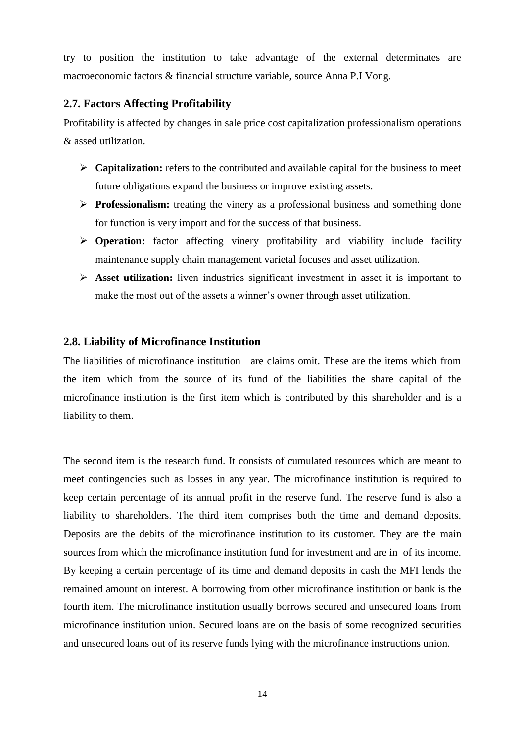try to position the institution to take advantage of the external determinates are macroeconomic factors & financial structure variable, source Anna P.I Vong.

#### <span id="page-24-0"></span>**2.7. Factors Affecting Profitability**

Profitability is affected by changes in sale price cost capitalization professionalism operations & assed utilization.

- **Capitalization:** refers to the contributed and available capital for the business to meet future obligations expand the business or improve existing assets.
- **Professionalism:** treating the vinery as a professional business and something done for function is very import and for the success of that business.
- **Operation:** factor affecting vinery profitability and viability include facility maintenance supply chain management varietal focuses and asset utilization.
- **Asset utilization:** liven industries significant investment in asset it is important to make the most out of the assets a winner's owner through asset utilization.

#### <span id="page-24-1"></span>**2.8. Liability of Microfinance Institution**

The liabilities of microfinance institution are claims omit. These are the items which from the item which from the source of its fund of the liabilities the share capital of the microfinance institution is the first item which is contributed by this shareholder and is a liability to them.

The second item is the research fund. It consists of cumulated resources which are meant to meet contingencies such as losses in any year. The microfinance institution is required to keep certain percentage of its annual profit in the reserve fund. The reserve fund is also a liability to shareholders. The third item comprises both the time and demand deposits. Deposits are the debits of the microfinance institution to its customer. They are the main sources from which the microfinance institution fund for investment and are in of its income. By keeping a certain percentage of its time and demand deposits in cash the MFI lends the remained amount on interest. A borrowing from other microfinance institution or bank is the fourth item. The microfinance institution usually borrows secured and unsecured loans from microfinance institution union. Secured loans are on the basis of some recognized securities and unsecured loans out of its reserve funds lying with the microfinance instructions union.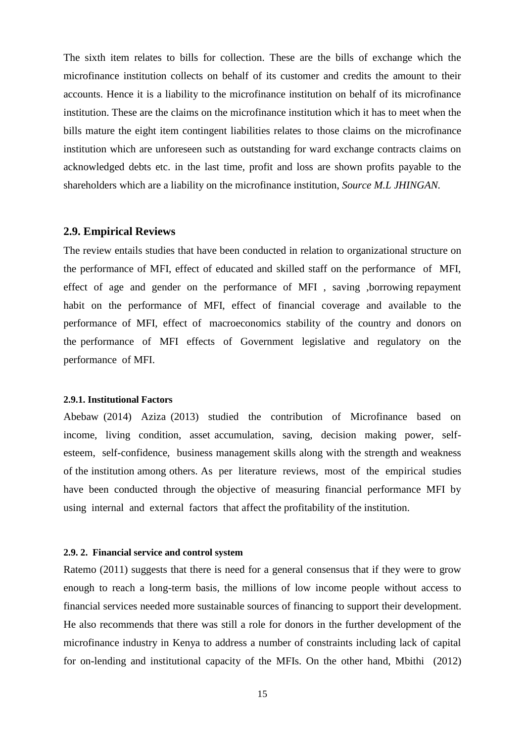The sixth item relates to bills for collection. These are the bills of exchange which the microfinance institution collects on behalf of its customer and credits the amount to their accounts. Hence it is a liability to the microfinance institution on behalf of its microfinance institution. These are the claims on the microfinance institution which it has to meet when the bills mature the eight item contingent liabilities relates to those claims on the microfinance institution which are unforeseen such as outstanding for ward exchange contracts claims on acknowledged debts etc. in the last time, profit and loss are shown profits payable to the shareholders which are a liability on the microfinance institution, *Source M.L JHINGAN.*

#### <span id="page-25-0"></span>**2.9. Empirical Reviews**

The review entails studies that have been conducted in relation to organizational structure on the performance of MFI, effect of educated and skilled staff on the performance of MFI, effect of age and gender on the performance of MFI , saving ,borrowing repayment habit on the performance of MFI, effect of financial coverage and available to the performance of MFI, effect of macroeconomics stability of the country and donors on the performance of MFI effects of Government legislative and regulatory on the performance of MFI.

#### <span id="page-25-1"></span>**2.9.1. Institutional Factors**

Abebaw (2014) Aziza (2013) studied the contribution of Microfinance based on income, living condition, asset accumulation, saving, decision making power, selfesteem, self-confidence, business management skills along with the strength and weakness of the institution among others. As per literature reviews, most of the empirical studies have been conducted through the objective of measuring financial performance MFI by using internal and external factors that affect the profitability of the institution.

#### <span id="page-25-2"></span>**2.9. 2. Financial service and control system**

Ratemo (2011) suggests that there is need for a general consensus that if they were to grow enough to reach a long-term basis, the millions of low income people without access to financial services needed more sustainable sources of financing to support their development. He also recommends that there was still a role for donors in the further development of the microfinance industry in Kenya to address a number of constraints including lack of capital for on-lending and institutional capacity of the MFIs. On the other hand, Mbithi (2012)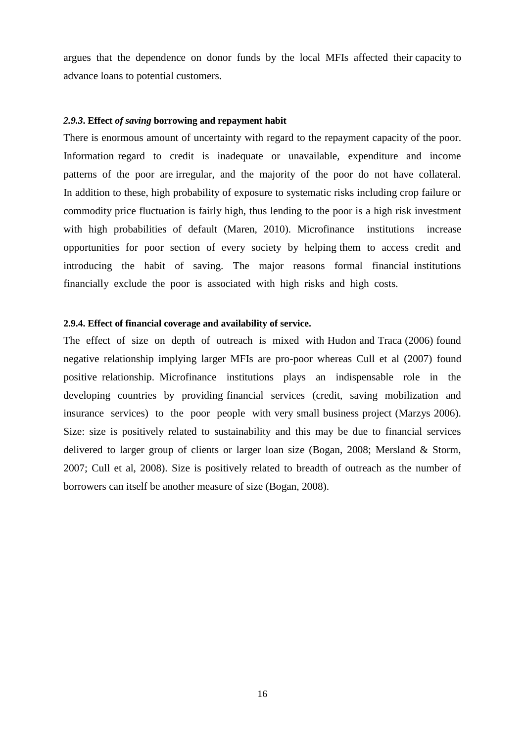argues that the dependence on donor funds by the local MFIs affected their capacity to advance loans to potential customers.

#### <span id="page-26-0"></span>*2.9.3***. Effect** *of saving* **borrowing and repayment habit**

There is enormous amount of uncertainty with regard to the repayment capacity of the poor. Information regard to credit is inadequate or unavailable, expenditure and income patterns of the poor are irregular, and the majority of the poor do not have collateral. In addition to these, high probability of exposure to systematic risks including crop failure or commodity price fluctuation is fairly high, thus lending to the poor is a high risk investment with high probabilities of default (Maren, 2010). Microfinance institutions increase opportunities for poor section of every society by helping them to access credit and introducing the habit of saving. The major reasons formal financial institutions financially exclude the poor is associated with high risks and high costs.

#### <span id="page-26-1"></span>**2.9.4. Effect of financial coverage and availability of service.**

The effect of size on depth of outreach is mixed with Hudon and Traca (2006) found negative relationship implying larger MFIs are pro-poor whereas Cull et al (2007) found positive relationship. Microfinance institutions plays an indispensable role in the developing countries by providing financial services (credit, saving mobilization and insurance services) to the poor people with very small business project (Marzys 2006). Size: size is positively related to sustainability and this may be due to financial services delivered to larger group of clients or larger loan size (Bogan, 2008; Mersland & Storm, 2007; Cull et al, 2008). Size is positively related to breadth of outreach as the number of borrowers can itself be another measure of size (Bogan, 2008).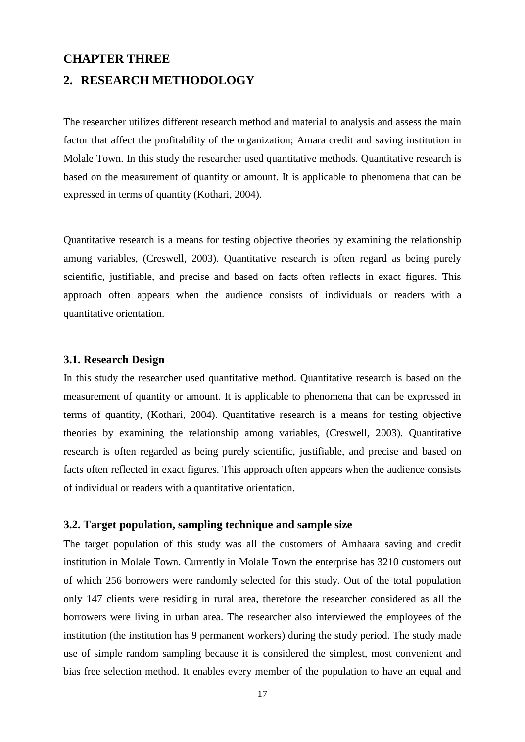#### <span id="page-27-0"></span>**CHAPTER THREE**

#### <span id="page-27-1"></span>**2. RESEARCH METHODOLOGY**

The researcher utilizes different research method and material to analysis and assess the main factor that affect the profitability of the organization; Amara credit and saving institution in Molale Town. In this study the researcher used quantitative methods. Quantitative research is based on the measurement of quantity or amount. It is applicable to phenomena that can be expressed in terms of quantity (Kothari, 2004).

Quantitative research is a means for testing objective theories by examining the relationship among variables, (Creswell, 2003). Quantitative research is often regard as being purely scientific, justifiable, and precise and based on facts often reflects in exact figures. This approach often appears when the audience consists of individuals or readers with a quantitative orientation.

#### <span id="page-27-2"></span>**3.1. Research Design**

In this study the researcher used quantitative method. Quantitative research is based on the measurement of quantity or amount. It is applicable to phenomena that can be expressed in terms of quantity, (Kothari, 2004). Quantitative research is a means for testing objective theories by examining the relationship among variables, (Creswell, 2003). Quantitative research is often regarded as being purely scientific, justifiable, and precise and based on facts often reflected in exact figures. This approach often appears when the audience consists of individual or readers with a quantitative orientation.

#### <span id="page-27-3"></span>**3.2. Target population, sampling technique and sample size**

The target population of this study was all the customers of Amhaara saving and credit institution in Molale Town. Currently in Molale Town the enterprise has 3210 customers out of which 256 borrowers were randomly selected for this study. Out of the total population only 147 clients were residing in rural area, therefore the researcher considered as all the borrowers were living in urban area. The researcher also interviewed the employees of the institution (the institution has 9 permanent workers) during the study period. The study made use of simple random sampling because it is considered the simplest, most convenient and bias free selection method. It enables every member of the population to have an equal and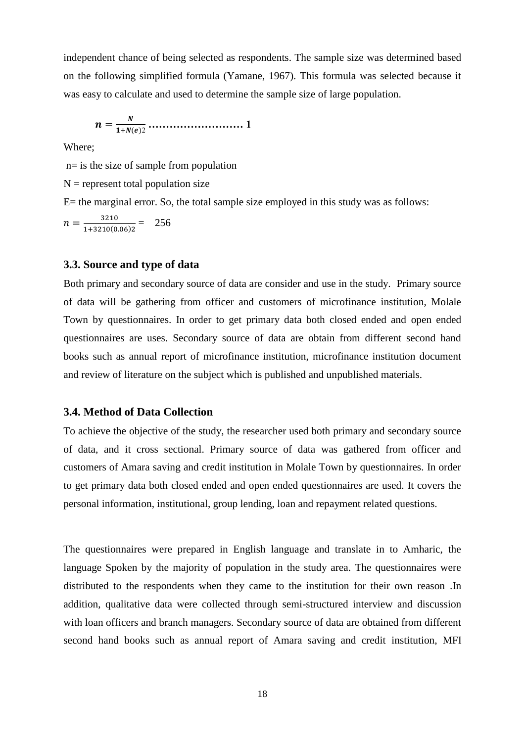independent chance of being selected as respondents. The sample size was determined based on the following simplified formula (Yamane, 1967). This formula was selected because it was easy to calculate and used to determine the sample size of large population.

 2 **……………………… 1**

Where;

n= is the size of sample from population

 $N =$  represent total population size

 $E=$  the marginal error. So, the total sample size employed in this study was as follows:

 $n = \frac{3}{1+2}$  $\frac{3210}{1+3210(0.06)2} = 256$ 

#### <span id="page-28-0"></span>**3.3. Source and type of data**

Both primary and secondary source of data are consider and use in the study. Primary source of data will be gathering from officer and customers of microfinance institution, Molale Town by questionnaires. In order to get primary data both closed ended and open ended questionnaires are uses. Secondary source of data are obtain from different second hand books such as annual report of microfinance institution, microfinance institution document and review of literature on the subject which is published and unpublished materials.

#### <span id="page-28-1"></span>**3.4. Method of Data Collection**

To achieve the objective of the study, the researcher used both primary and secondary source of data, and it cross sectional. Primary source of data was gathered from officer and customers of Amara saving and credit institution in Molale Town by questionnaires. In order to get primary data both closed ended and open ended questionnaires are used. It covers the personal information, institutional, group lending, loan and repayment related questions.

The questionnaires were prepared in English language and translate in to Amharic, the language Spoken by the majority of population in the study area. The questionnaires were distributed to the respondents when they came to the institution for their own reason .In addition, qualitative data were collected through semi-structured interview and discussion with loan officers and branch managers. Secondary source of data are obtained from different second hand books such as annual report of Amara saving and credit institution, MFI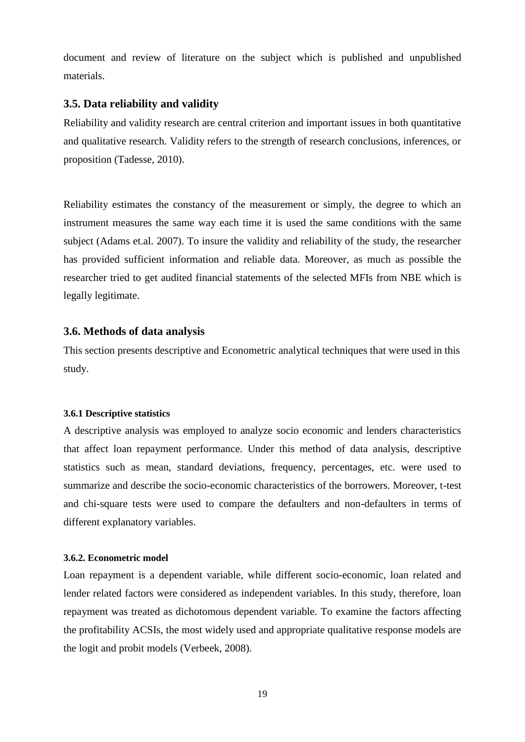document and review of literature on the subject which is published and unpublished materials.

#### <span id="page-29-0"></span>**3.5. Data reliability and validity**

Reliability and validity research are central criterion and important issues in both quantitative and qualitative research. Validity refers to the strength of research conclusions, inferences, or proposition (Tadesse, 2010).

Reliability estimates the constancy of the measurement or simply, the degree to which an instrument measures the same way each time it is used the same conditions with the same subject (Adams et.al. 2007). To insure the validity and reliability of the study, the researcher has provided sufficient information and reliable data. Moreover, as much as possible the researcher tried to get audited financial statements of the selected MFIs from NBE which is legally legitimate.

#### <span id="page-29-1"></span>**3.6. Methods of data analysis**

This section presents descriptive and Econometric analytical techniques that were used in this study.

#### <span id="page-29-2"></span>**3.6.1 Descriptive statistics**

A descriptive analysis was employed to analyze socio economic and lenders characteristics that affect loan repayment performance. Under this method of data analysis, descriptive statistics such as mean, standard deviations, frequency, percentages, etc. were used to summarize and describe the socio-economic characteristics of the borrowers. Moreover, t-test and chi-square tests were used to compare the defaulters and non-defaulters in terms of different explanatory variables.

#### <span id="page-29-3"></span>**3.6.2. Econometric model**

Loan repayment is a dependent variable, while different socio-economic, loan related and lender related factors were considered as independent variables. In this study, therefore, loan repayment was treated as dichotomous dependent variable. To examine the factors affecting the profitability ACSIs, the most widely used and appropriate qualitative response models are the logit and probit models (Verbeek, 2008).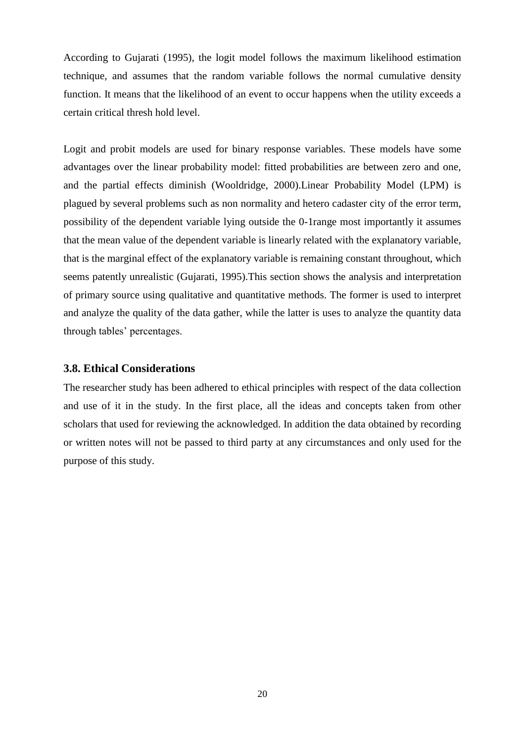According to Gujarati (1995), the logit model follows the maximum likelihood estimation technique, and assumes that the random variable follows the normal cumulative density function. It means that the likelihood of an event to occur happens when the utility exceeds a certain critical thresh hold level.

Logit and probit models are used for binary response variables. These models have some advantages over the linear probability model: fitted probabilities are between zero and one, and the partial effects diminish (Wooldridge, 2000).Linear Probability Model (LPM) is plagued by several problems such as non normality and hetero cadaster city of the error term, possibility of the dependent variable lying outside the 0-1range most importantly it assumes that the mean value of the dependent variable is linearly related with the explanatory variable, that is the marginal effect of the explanatory variable is remaining constant throughout, which seems patently unrealistic (Gujarati, 1995).This section shows the analysis and interpretation of primary source using qualitative and quantitative methods. The former is used to interpret and analyze the quality of the data gather, while the latter is uses to analyze the quantity data through tables' percentages.

#### <span id="page-30-0"></span>**3.8. Ethical Considerations**

The researcher study has been adhered to ethical principles with respect of the data collection and use of it in the study. In the first place, all the ideas and concepts taken from other scholars that used for reviewing the acknowledged. In addition the data obtained by recording or written notes will not be passed to third party at any circumstances and only used for the purpose of this study.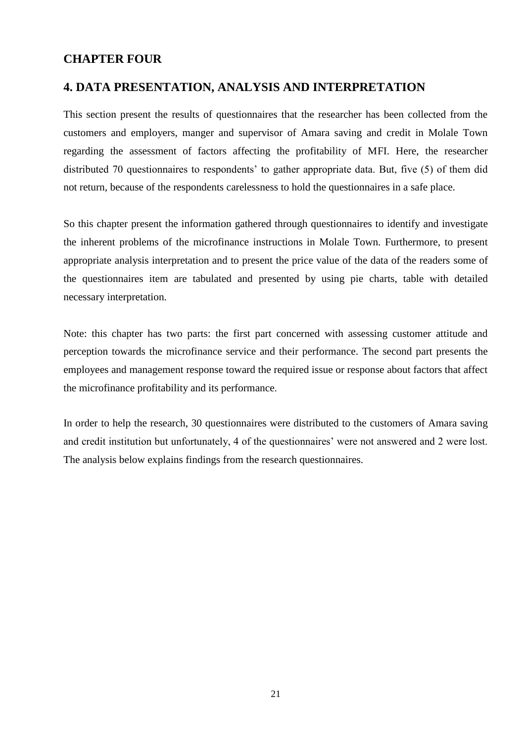#### <span id="page-31-0"></span>**CHAPTER FOUR**

#### <span id="page-31-1"></span>**4. DATA PRESENTATION, ANALYSIS AND INTERPRETATION**

This section present the results of questionnaires that the researcher has been collected from the customers and employers, manger and supervisor of Amara saving and credit in Molale Town regarding the assessment of factors affecting the profitability of MFI. Here, the researcher distributed 70 questionnaires to respondents' to gather appropriate data. But, five (5) of them did not return, because of the respondents carelessness to hold the questionnaires in a safe place.

So this chapter present the information gathered through questionnaires to identify and investigate the inherent problems of the microfinance instructions in Molale Town. Furthermore, to present appropriate analysis interpretation and to present the price value of the data of the readers some of the questionnaires item are tabulated and presented by using pie charts, table with detailed necessary interpretation.

Note: this chapter has two parts: the first part concerned with assessing customer attitude and perception towards the microfinance service and their performance. The second part presents the employees and management response toward the required issue or response about factors that affect the microfinance profitability and its performance.

In order to help the research, 30 questionnaires were distributed to the customers of Amara saving and credit institution but unfortunately, 4 of the questionnaires' were not answered and 2 were lost. The analysis below explains findings from the research questionnaires.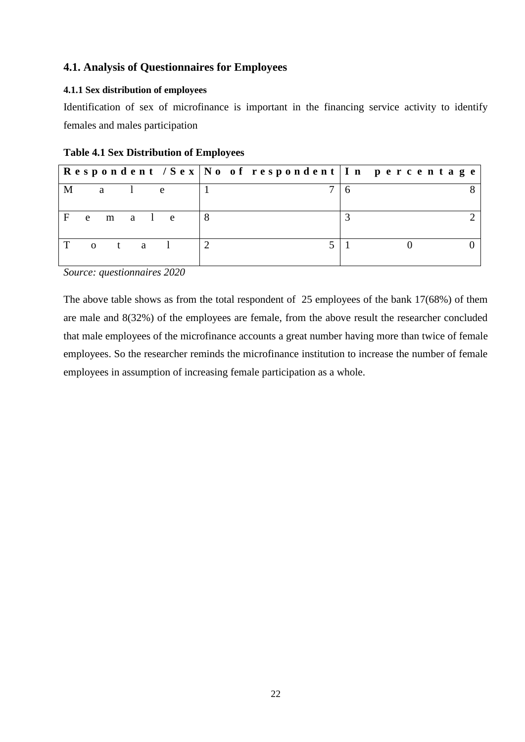#### <span id="page-32-0"></span>**4.1. Analysis of Questionnaires for Employees**

#### <span id="page-32-1"></span>**4.1.1 Sex distribution of employees**

Identification of sex of microfinance is important in the financing service activity to identify females and males participation

|       |                |              |  |     |   |  | Respondent / Sex   No of respondent   In percentage |  |  |  |  |
|-------|----------------|--------------|--|-----|---|--|-----------------------------------------------------|--|--|--|--|
| M     |                | $a \qquad 1$ |  | e e |   |  |                                                     |  |  |  |  |
| $F$ e |                | m a l e      |  |     | 8 |  |                                                     |  |  |  |  |
| T     | $\overline{0}$ | t a l        |  |     |   |  |                                                     |  |  |  |  |

*Source: questionnaires 2020*

The above table shows as from the total respondent of 25 employees of the bank 17(68%) of them are male and 8(32%) of the employees are female, from the above result the researcher concluded that male employees of the microfinance accounts a great number having more than twice of female employees. So the researcher reminds the microfinance institution to increase the number of female employees in assumption of increasing female participation as a whole.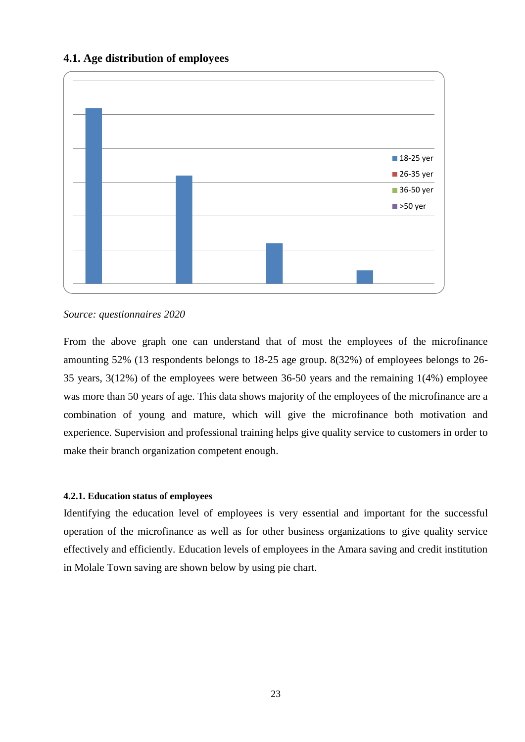#### <span id="page-33-0"></span>**4.1. Age distribution of employees**



*Source: questionnaires 2020*

From the above graph one can understand that of most the employees of the microfinance amounting 52% (13 respondents belongs to 18-25 age group. 8(32%) of employees belongs to 26- 35 years, 3(12%) of the employees were between 36-50 years and the remaining 1(4%) employee was more than 50 years of age. This data shows majority of the employees of the microfinance are a combination of young and mature, which will give the microfinance both motivation and experience. Supervision and professional training helps give quality service to customers in order to make their branch organization competent enough.

#### <span id="page-33-1"></span>**4.2.1. Education status of employees**

Identifying the education level of employees is very essential and important for the successful operation of the microfinance as well as for other business organizations to give quality service effectively and efficiently. Education levels of employees in the Amara saving and credit institution in Molale Town saving are shown below by using pie chart.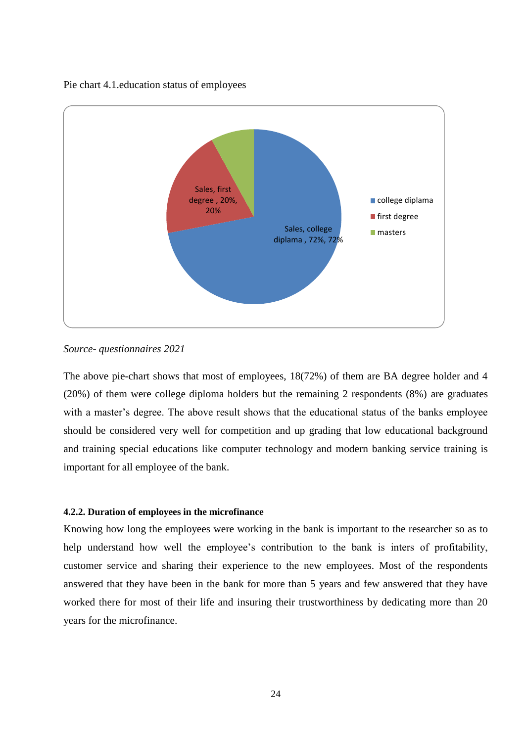#### Pie chart 4.1.education status of employees



#### *Source- questionnaires 2021*

The above pie-chart shows that most of employees, 18(72%) of them are BA degree holder and 4 (20%) of them were college diploma holders but the remaining 2 respondents (8%) are graduates with a master's degree. The above result shows that the educational status of the banks employee should be considered very well for competition and up grading that low educational background and training special educations like computer technology and modern banking service training is important for all employee of the bank.

#### <span id="page-34-0"></span>**4.2.2. Duration of employees in the microfinance**

Knowing how long the employees were working in the bank is important to the researcher so as to help understand how well the employee's contribution to the bank is inters of profitability, customer service and sharing their experience to the new employees. Most of the respondents answered that they have been in the bank for more than 5 years and few answered that they have worked there for most of their life and insuring their trustworthiness by dedicating more than 20 years for the microfinance.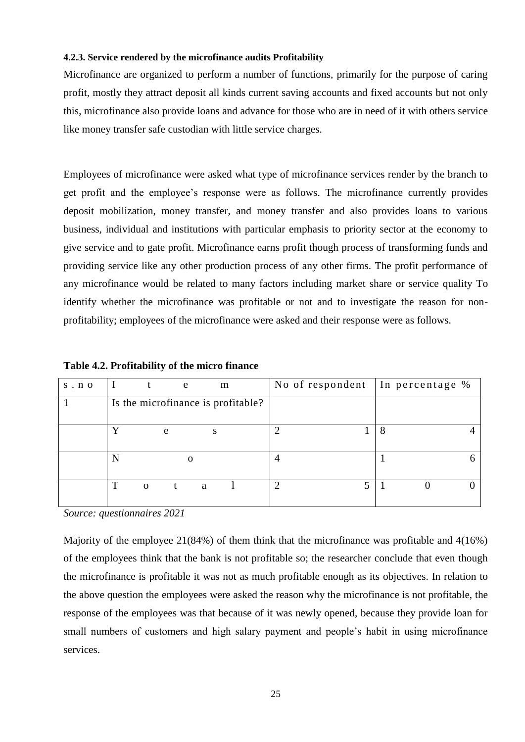#### <span id="page-35-0"></span>**4.2.3. Service rendered by the microfinance audits Profitability**

Microfinance are organized to perform a number of functions, primarily for the purpose of caring profit, mostly they attract deposit all kinds current saving accounts and fixed accounts but not only this, microfinance also provide loans and advance for those who are in need of it with others service like money transfer safe custodian with little service charges.

Employees of microfinance were asked what type of microfinance services render by the branch to get profit and the employee's response were as follows. The microfinance currently provides deposit mobilization, money transfer, and money transfer and also provides loans to various business, individual and institutions with particular emphasis to priority sector at the economy to give service and to gate profit. Microfinance earns profit though process of transforming funds and providing service like any other production process of any other firms. The profit performance of any microfinance would be related to many factors including market share or service quality To identify whether the microfinance was profitable or not and to investigate the reason for nonprofitability; employees of the microfinance were asked and their response were as follows.

| $s \cdot n$ o |               | e | m                                  | No of respondent In percentage % |   |
|---------------|---------------|---|------------------------------------|----------------------------------|---|
|               |               |   | Is the microfinance is profitable? |                                  |   |
|               | $\mathbf v$   | e | S                                  |                                  | 8 |
|               |               |   |                                    |                                  |   |
|               | T<br>$\Omega$ | t | a                                  | ി                                |   |

**Table 4.2. Profitability of the micro finance** 

*Source: questionnaires 2021*

Majority of the employee 21(84%) of them think that the microfinance was profitable and 4(16%) of the employees think that the bank is not profitable so; the researcher conclude that even though the microfinance is profitable it was not as much profitable enough as its objectives. In relation to the above question the employees were asked the reason why the microfinance is not profitable, the response of the employees was that because of it was newly opened, because they provide loan for small numbers of customers and high salary payment and people's habit in using microfinance services.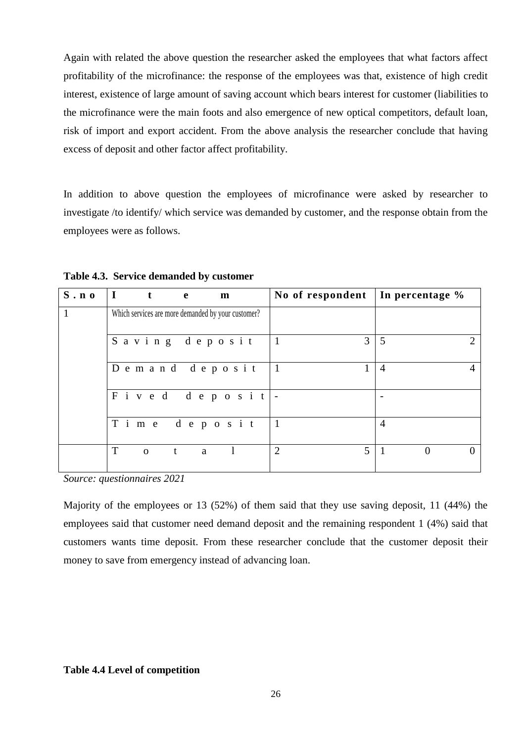Again with related the above question the researcher asked the employees that what factors affect profitability of the microfinance: the response of the employees was that, existence of high credit interest, existence of large amount of saving account which bears interest for customer (liabilities to the microfinance were the main foots and also emergence of new optical competitors, default loan, risk of import and export accident. From the above analysis the researcher conclude that having excess of deposit and other factor affect profitability.

In addition to above question the employees of microfinance were asked by researcher to investigate /to identify/ which service was demanded by customer, and the response obtain from the employees were as follows.

| $S \cdot n$ | $\mathbf I$<br>t  | e | m                                                  |                | No of respondent   In percentage % |                |                      |
|-------------|-------------------|---|----------------------------------------------------|----------------|------------------------------------|----------------|----------------------|
|             |                   |   | Which services are more demanded by your customer? |                |                                    |                |                      |
|             |                   |   | Saving deposit                                     |                | 3                                  | 5              |                      |
|             |                   |   | Demand deposit                                     | $\vert$ 1      |                                    | $\overline{4}$ | 4                    |
|             |                   |   | Fived deposit $\vert$ -                            |                |                                    |                |                      |
|             |                   |   | Time deposit                                       | $\overline{1}$ |                                    | $\overline{4}$ |                      |
|             | T<br>$\mathbf{O}$ | t | a                                                  | 2              | 5                                  |                | $\Omega$<br>$\Omega$ |

**Table 4.3. Service demanded by customer** 

*Source: questionnaires 2021*

Majority of the employees or 13 (52%) of them said that they use saving deposit, 11 (44%) the employees said that customer need demand deposit and the remaining respondent 1 (4%) said that customers wants time deposit. From these researcher conclude that the customer deposit their money to save from emergency instead of advancing loan.

#### **Table 4.4 Level of competition**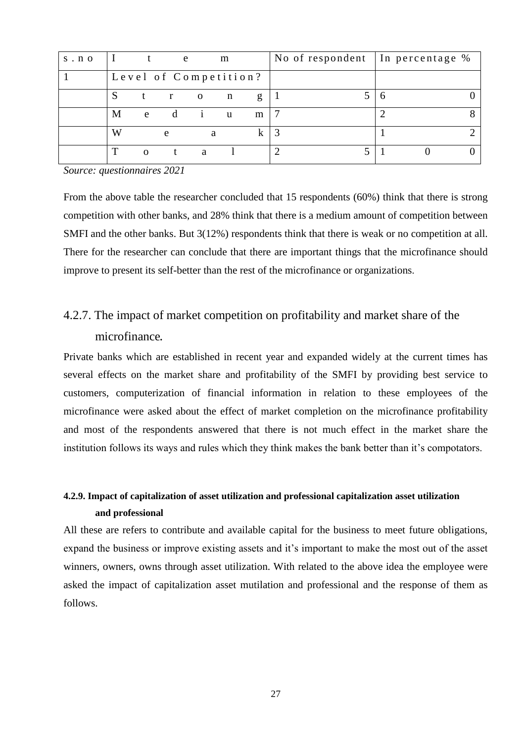| $s \cdot n$ o |        |          | e |                | m                     |   | No of respondent |  | In percentage % |  |
|---------------|--------|----------|---|----------------|-----------------------|---|------------------|--|-----------------|--|
|               |        |          |   |                | Level of Competition? |   |                  |  |                 |  |
|               |        |          |   | $\overline{O}$ | n                     | g |                  |  |                 |  |
|               | М      | e        |   |                | u                     | m |                  |  |                 |  |
|               | W<br>e |          |   | a              |                       |   |                  |  |                 |  |
|               | ௱      | $\Omega$ |   | a              |                       |   |                  |  |                 |  |

*Source: questionnaires 2021*

From the above table the researcher concluded that 15 respondents (60%) think that there is strong competition with other banks, and 28% think that there is a medium amount of competition between SMFI and the other banks. But 3(12%) respondents think that there is weak or no competition at all. There for the researcher can conclude that there are important things that the microfinance should improve to present its self-better than the rest of the microfinance or organizations.

### <span id="page-37-0"></span>4.2.7. The impact of market competition on profitability and market share of the microfinance*.*

Private banks which are established in recent year and expanded widely at the current times has several effects on the market share and profitability of the SMFI by providing best service to customers, computerization of financial information in relation to these employees of the microfinance were asked about the effect of market completion on the microfinance profitability and most of the respondents answered that there is not much effect in the market share the institution follows its ways and rules which they think makes the bank better than it's compotators.

### <span id="page-37-1"></span>**4.2.9. Impact of capitalization of asset utilization and professional capitalization asset utilization and professional**

All these are refers to contribute and available capital for the business to meet future obligations, expand the business or improve existing assets and it's important to make the most out of the asset winners, owners, owns through asset utilization. With related to the above idea the employee were asked the impact of capitalization asset mutilation and professional and the response of them as follows.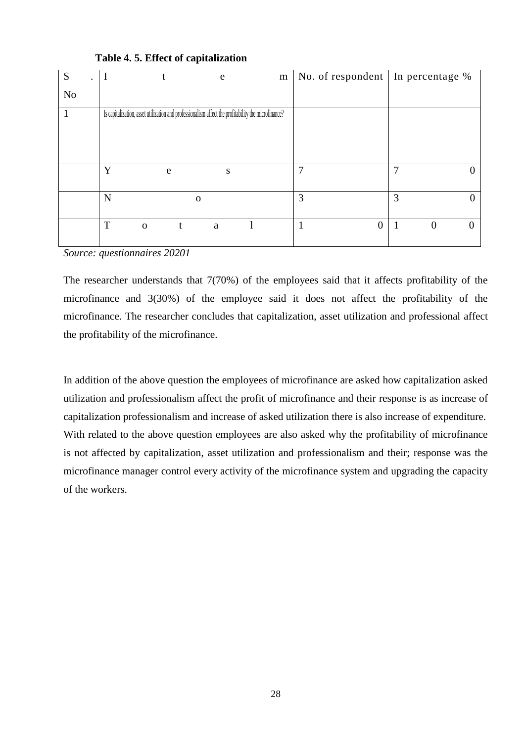| S  |                  |                                                                                                     | e | m | No. of respondent   In percentage $%$ |          |          |
|----|------------------|-----------------------------------------------------------------------------------------------------|---|---|---------------------------------------|----------|----------|
| No |                  |                                                                                                     |   |   |                                       |          |          |
|    |                  | Is capitalization, asset utilization and professionalism affect the profitability the microfinance? |   |   |                                       |          |          |
|    | Y                | e                                                                                                   | S |   |                                       |          | O        |
|    | N                | $\mathbf 0$                                                                                         |   |   | 3                                     | 3        | 0        |
|    | T<br>$\mathbf 0$ | t                                                                                                   | a |   | 0                                     | $\theta$ | $\Omega$ |

**Table 4. 5. Effect of capitalization** 

*Source: questionnaires 20201*

The researcher understands that 7(70%) of the employees said that it affects profitability of the microfinance and 3(30%) of the employee said it does not affect the profitability of the microfinance. The researcher concludes that capitalization, asset utilization and professional affect the profitability of the microfinance.

In addition of the above question the employees of microfinance are asked how capitalization asked utilization and professionalism affect the profit of microfinance and their response is as increase of capitalization professionalism and increase of asked utilization there is also increase of expenditure. With related to the above question employees are also asked why the profitability of microfinance is not affected by capitalization, asset utilization and professionalism and their; response was the microfinance manager control every activity of the microfinance system and upgrading the capacity of the workers.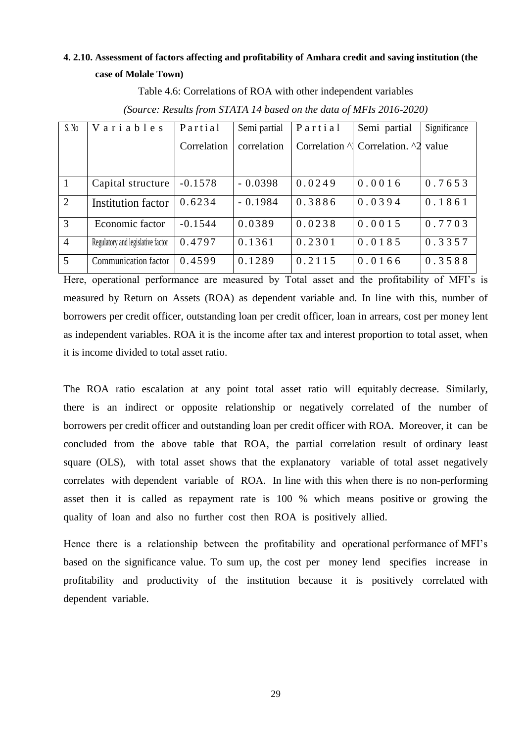#### <span id="page-39-0"></span>**4. 2.10. Assessment of factors affecting and profitability of Amhara credit and saving institution (the case of Molale Town)**

Table 4.6: Correlations of ROA with other independent variables

| S.No           | Variables                         | Partial     | Semi partial | Partial | Semi partial                                     | Significance |
|----------------|-----------------------------------|-------------|--------------|---------|--------------------------------------------------|--------------|
|                |                                   | Correlation | correlation  |         | Correlation $\land$ Correlation. $\land$ 2 value |              |
|                |                                   |             |              |         |                                                  |              |
| $\overline{1}$ | Capital structure                 | $-0.1578$   | $-0.0398$    | 0.0249  | 0.0016                                           | 0.7653       |
| 2              | Institution factor                | 0.6234      | $-0.1984$    | 0.3886  | 0.0394                                           | 0.1861       |
| $\overline{3}$ | Economic factor                   | $-0.1544$   | 0.0389       | 0.0238  | 0.0015                                           | 0.7703       |
| $\overline{4}$ | Regulatory and legislative factor | 0.4797      | 0.1361       | 0.2301  | 0.0185                                           | 0.3357       |
| $\overline{5}$ | Communication factor              | 0.4599      | 0.1289       | 0.2115  | 0.0166                                           | 0.3588       |

*(Source: Results from STATA 14 based on the data of MFIs 2016-2020)*

Here, operational performance are measured by Total asset and the profitability of MFI's is measured by Return on Assets (ROA) as dependent variable and. In line with this, number of borrowers per credit officer, outstanding loan per credit officer, loan in arrears, cost per money lent as independent variables. ROA it is the income after tax and interest proportion to total asset, when it is income divided to total asset ratio.

The ROA ratio escalation at any point total asset ratio will equitably decrease. Similarly, there is an indirect or opposite relationship or negatively correlated of the number of borrowers per credit officer and outstanding loan per credit officer with ROA. Moreover, it can be concluded from the above table that ROA, the partial correlation result of ordinary least square (OLS), with total asset shows that the explanatory variable of total asset negatively correlates with dependent variable of ROA. In line with this when there is no non-performing asset then it is called as repayment rate is 100 % which means positive or growing the quality of loan and also no further cost then ROA is positively allied.

Hence there is a relationship between the profitability and operational performance of MFI's based on the significance value. To sum up, the cost per money lend specifies increase in profitability and productivity of the institution because it is positively correlated with dependent variable.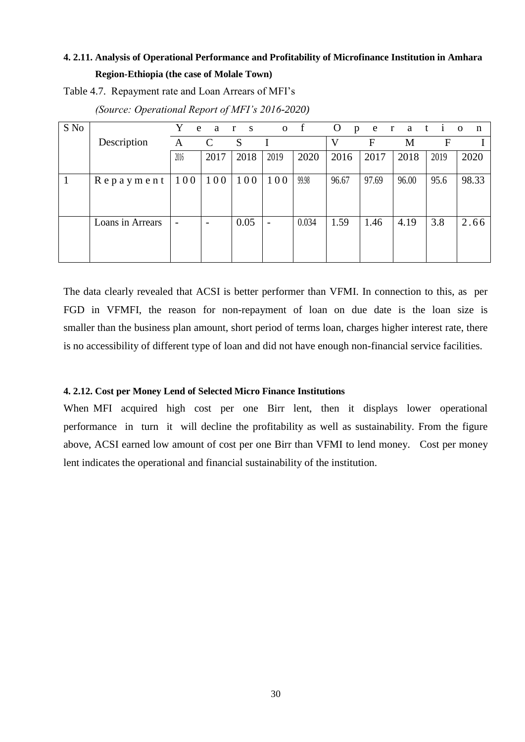#### <span id="page-40-0"></span>**4. 2.11. Analysis of Operational Performance and Profitability of Microfinance Institution in Amhara Region-Ethiopia (the case of Molale Town)**

Table 4.7. Repayment rate and Loan Arrears of MFI's

| S No |                  | e                        | a<br>$\mathbf{r}$ | $\mathbf S$ |                          | $\sigma$ f | $\mathbf{O}$<br>$\mathbf{p}$ |       | e rati |      | $\mathbf{O}$<br>n |
|------|------------------|--------------------------|-------------------|-------------|--------------------------|------------|------------------------------|-------|--------|------|-------------------|
|      | Description      | A                        | $\mathcal{C}$     | S           |                          |            | V                            | F     | M      | F    |                   |
|      |                  | 2016                     | 2017              | 2018        | 2019                     | 2020       | 2016                         | 2017  | 2018   | 2019 | 2020              |
|      | $Repay$ ment     | 100                      | 100               | 100         | 100                      | 99.98      | 96.67                        | 97.69 | 96.00  | 95.6 | 98.33             |
|      | Loans in Arrears | $\overline{\phantom{0}}$ |                   | 0.05        | $\overline{\phantom{0}}$ | 0.034      | 1.59                         | 1.46  | 4.19   | 3.8  | 2.66              |

*(Source: Operational Report of MFI's 2016-2020)* 

The data clearly revealed that ACSI is better performer than VFMI. In connection to this, as per FGD in VFMFI, the reason for non-repayment of loan on due date is the loan size is smaller than the business plan amount, short period of terms loan, charges higher interest rate, there is no accessibility of different type of loan and did not have enough non-financial service facilities.

#### <span id="page-40-1"></span>**4. 2.12. Cost per Money Lend of Selected Micro Finance Institutions**

When MFI acquired high cost per one Birr lent, then it displays lower operational performance in turn it will decline the profitability as well as sustainability. From the figure above, ACSI earned low amount of cost per one Birr than VFMI to lend money. Cost per money lent indicates the operational and financial sustainability of the institution.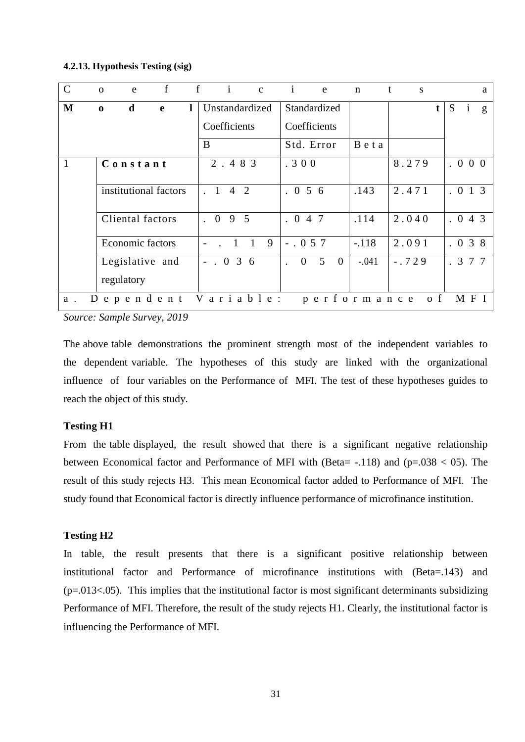#### <span id="page-41-0"></span>**4.2.13. Hypothesis Testing (sig)**

| $\mathbf C$ | $\mathbf{e}$<br>$\Omega$ | f | f         | $i^-$                            | $\mathbf{c}$ | $\mathbf{i}$   | $\mathbf{e}$                     | $\mathbf n$ | $\mathbf{t}$<br>S |            |   |              | a |
|-------------|--------------------------|---|-----------|----------------------------------|--------------|----------------|----------------------------------|-------------|-------------------|------------|---|--------------|---|
| M           | d<br>$\bf{0}$            | e |           | Unstandardized                   |              | Standardized   |                                  |             |                   | t          | S | $\mathbf{1}$ | g |
|             |                          |   |           | Coefficients                     |              | Coefficients   |                                  |             |                   |            |   |              |   |
|             |                          |   | B         |                                  |              | Std. Error     |                                  | Beta        |                   |            |   |              |   |
| 1           | Constant                 |   |           | 2.483                            |              | .300           |                                  |             | 8.279             |            |   | 000          |   |
|             | institutional factors    |   | $\cdot$ 1 | 2<br>$\overline{4}$              |              | . 056          |                                  | .143        | 2.471             |            |   | . 0 1 3      |   |
|             | Cliental factors         |   |           | . 095                            |              | . 047          |                                  | .114        | 2.040             |            |   | . 043        |   |
|             | <b>Economic factors</b>  |   |           | $\overline{1}$<br>$\overline{1}$ | 9            | $-.057$        |                                  | $-.118$     | 2.091             |            |   | . 038        |   |
|             | Legislative and          |   |           | $-.036$                          |              | $\overline{0}$ | 5 <sup>5</sup><br>$\overline{0}$ | $-.041$     | $-.729$           |            |   | . 3 7 7      |   |
|             | regulatory               |   |           |                                  |              |                |                                  |             |                   |            |   |              |   |
| D<br>a.     | ependent                 |   |           | Variable:                        |              |                |                                  | performance |                   | $\sigma$ f |   | M F I        |   |

*Source: Sample Survey, 2019*

The above table demonstrations the prominent strength most of the independent variables to the dependent variable. The hypotheses of this study are linked with the organizational influence of four variables on the Performance of MFI. The test of these hypotheses guides to reach the object of this study.

#### **Testing H1**

From the table displayed, the result showed that there is a significant negative relationship between Economical factor and Performance of MFI with (Beta=  $-.118$ ) and (p=.038 < 05). The result of this study rejects H3. This mean Economical factor added to Performance of MFI. The study found that Economical factor is directly influence performance of microfinance institution.

#### **Testing H2**

In table, the result presents that there is a significant positive relationship between institutional factor and Performance of microfinance institutions with (Beta=.143) and  $(p=.013<.05)$ . This implies that the institutional factor is most significant determinants subsidizing Performance of MFI. Therefore, the result of the study rejects H1. Clearly, the institutional factor is influencing the Performance of MFI.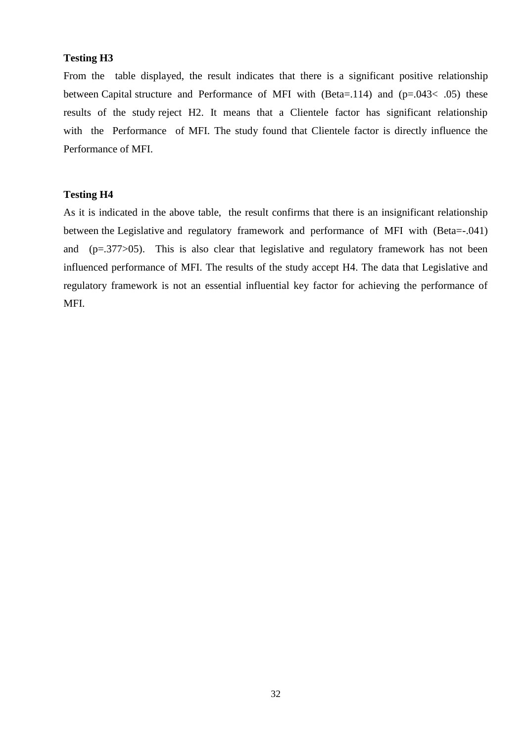#### **Testing H3**

From the table displayed, the result indicates that there is a significant positive relationship between Capital structure and Performance of MFI with (Beta=.114) and ( $p=.043< .05$ ) these results of the study reject H2. It means that a Clientele factor has significant relationship with the Performance of MFI. The study found that Clientele factor is directly influence the Performance of MFI.

#### **Testing H4**

As it is indicated in the above table, the result confirms that there is an insignificant relationship between the Legislative and regulatory framework and performance of MFI with (Beta=-.041) and (p=.377>05). This is also clear that legislative and regulatory framework has not been influenced performance of MFI. The results of the study accept H4. The data that Legislative and regulatory framework is not an essential influential key factor for achieving the performance of MFI.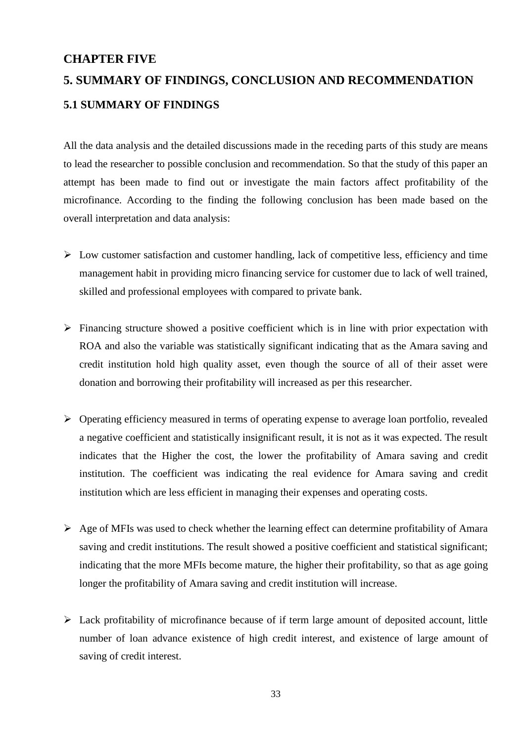#### <span id="page-43-0"></span>**CHAPTER FIVE**

# <span id="page-43-2"></span><span id="page-43-1"></span>**5. SUMMARY OF FINDINGS, CONCLUSION AND RECOMMENDATION 5.1 SUMMARY OF FINDINGS**

All the data analysis and the detailed discussions made in the receding parts of this study are means to lead the researcher to possible conclusion and recommendation. So that the study of this paper an attempt has been made to find out or investigate the main factors affect profitability of the microfinance. According to the finding the following conclusion has been made based on the overall interpretation and data analysis:

- $\triangleright$  Low customer satisfaction and customer handling, lack of competitive less, efficiency and time management habit in providing micro financing service for customer due to lack of well trained, skilled and professional employees with compared to private bank.
- $\triangleright$  Financing structure showed a positive coefficient which is in line with prior expectation with ROA and also the variable was statistically significant indicating that as the Amara saving and credit institution hold high quality asset, even though the source of all of their asset were donation and borrowing their profitability will increased as per this researcher.
- $\triangleright$  Operating efficiency measured in terms of operating expense to average loan portfolio, revealed a negative coefficient and statistically insignificant result, it is not as it was expected. The result indicates that the Higher the cost, the lower the profitability of Amara saving and credit institution. The coefficient was indicating the real evidence for Amara saving and credit institution which are less efficient in managing their expenses and operating costs.
- $\triangleright$  Age of MFIs was used to check whether the learning effect can determine profitability of Amara saving and credit institutions. The result showed a positive coefficient and statistical significant; indicating that the more MFIs become mature, the higher their profitability, so that as age going longer the profitability of Amara saving and credit institution will increase.
- $\triangleright$  Lack profitability of microfinance because of if term large amount of deposited account, little number of loan advance existence of high credit interest, and existence of large amount of saving of credit interest.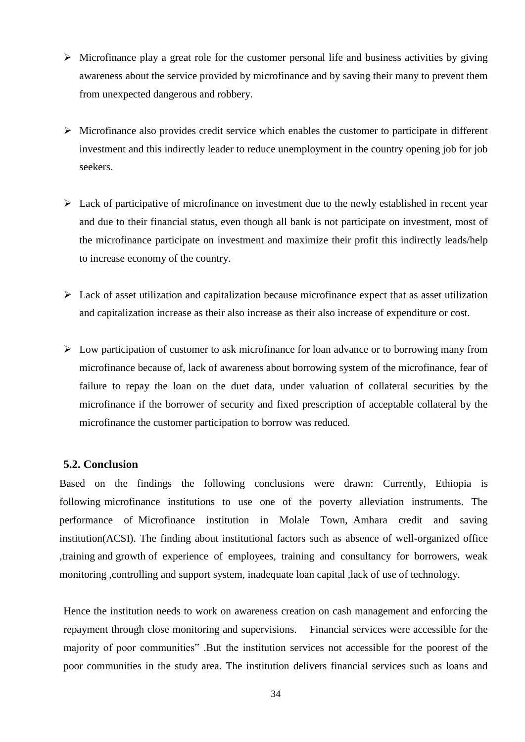- $\triangleright$  Microfinance play a great role for the customer personal life and business activities by giving awareness about the service provided by microfinance and by saving their many to prevent them from unexpected dangerous and robbery.
- $\triangleright$  Microfinance also provides credit service which enables the customer to participate in different investment and this indirectly leader to reduce unemployment in the country opening job for job seekers.
- $\triangleright$  Lack of participative of microfinance on investment due to the newly established in recent year and due to their financial status, even though all bank is not participate on investment, most of the microfinance participate on investment and maximize their profit this indirectly leads/help to increase economy of the country.
- $\triangleright$  Lack of asset utilization and capitalization because microfinance expect that as asset utilization and capitalization increase as their also increase as their also increase of expenditure or cost.
- $\triangleright$  Low participation of customer to ask microfinance for loan advance or to borrowing many from microfinance because of, lack of awareness about borrowing system of the microfinance, fear of failure to repay the loan on the duet data, under valuation of collateral securities by the microfinance if the borrower of security and fixed prescription of acceptable collateral by the microfinance the customer participation to borrow was reduced.

#### <span id="page-44-0"></span>**5.2. Conclusion**

Based on the findings the following conclusions were drawn: Currently, Ethiopia is following microfinance institutions to use one of the poverty alleviation instruments. The performance of Microfinance institution in Molale Town, Amhara credit and saving institution(ACSI). The finding about institutional factors such as absence of well-organized office ,training and growth of experience of employees, training and consultancy for borrowers, weak monitoring ,controlling and support system, inadequate loan capital ,lack of use of technology.

Hence the institution needs to work on awareness creation on cash management and enforcing the repayment through close monitoring and supervisions. Financial services were accessible for the majority of poor communities" .But the institution services not accessible for the poorest of the poor communities in the study area. The institution delivers financial services such as loans and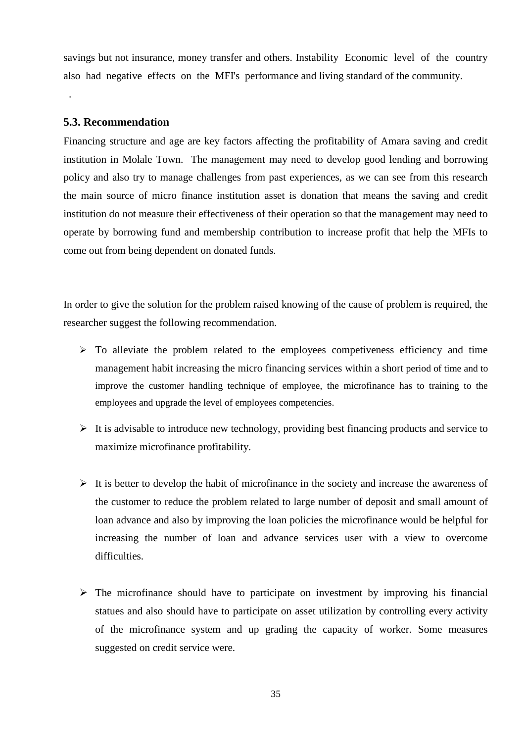savings but not insurance, money transfer and others. Instability Economic level of the country also had negative effects on the MFI's performance and living standard of the community.

#### <span id="page-45-0"></span>**5.3. Recommendation**

.

Financing structure and age are key factors affecting the profitability of Amara saving and credit institution in Molale Town. The management may need to develop good lending and borrowing policy and also try to manage challenges from past experiences, as we can see from this research the main source of micro finance institution asset is donation that means the saving and credit institution do not measure their effectiveness of their operation so that the management may need to operate by borrowing fund and membership contribution to increase profit that help the MFIs to come out from being dependent on donated funds.

In order to give the solution for the problem raised knowing of the cause of problem is required, the researcher suggest the following recommendation.

- $\triangleright$  To alleviate the problem related to the employees competiveness efficiency and time management habit increasing the micro financing services within a short period of time and to improve the customer handling technique of employee, the microfinance has to training to the employees and upgrade the level of employees competencies.
- $\triangleright$  It is advisable to introduce new technology, providing best financing products and service to maximize microfinance profitability.
- $\triangleright$  It is better to develop the habit of microfinance in the society and increase the awareness of the customer to reduce the problem related to large number of deposit and small amount of loan advance and also by improving the loan policies the microfinance would be helpful for increasing the number of loan and advance services user with a view to overcome difficulties.
- $\triangleright$  The microfinance should have to participate on investment by improving his financial statues and also should have to participate on asset utilization by controlling every activity of the microfinance system and up grading the capacity of worker. Some measures suggested on credit service were.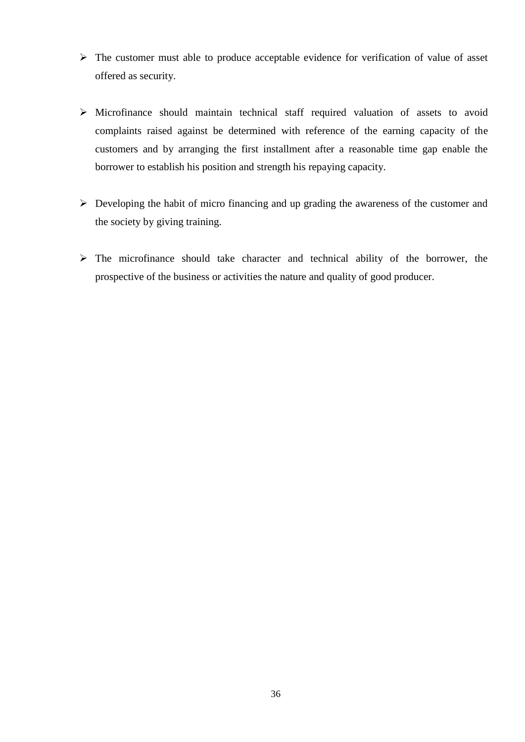- $\triangleright$  The customer must able to produce acceptable evidence for verification of value of asset offered as security.
- $\triangleright$  Microfinance should maintain technical staff required valuation of assets to avoid complaints raised against be determined with reference of the earning capacity of the customers and by arranging the first installment after a reasonable time gap enable the borrower to establish his position and strength his repaying capacity.
- $\triangleright$  Developing the habit of micro financing and up grading the awareness of the customer and the society by giving training.
- $\triangleright$  The microfinance should take character and technical ability of the borrower, the prospective of the business or activities the nature and quality of good producer.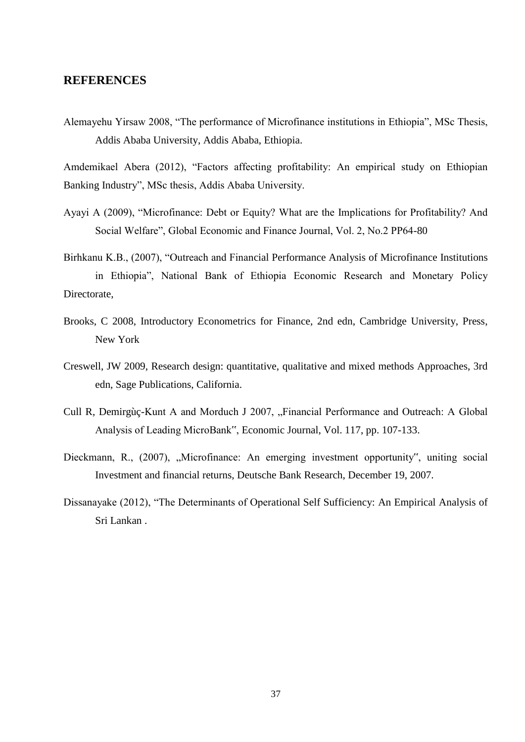#### <span id="page-47-0"></span>**REFERENCES**

Alemayehu Yirsaw 2008, "The performance of Microfinance institutions in Ethiopia", MSc Thesis, Addis Ababa University, Addis Ababa, Ethiopia.

Amdemikael Abera (2012), "Factors affecting profitability: An empirical study on Ethiopian Banking Industry", MSc thesis, Addis Ababa University.

- Ayayi A (2009), "Microfinance: Debt or Equity? What are the Implications for Profitability? And Social Welfare", Global Economic and Finance Journal, Vol. 2, No.2 PP64-80
- Birhkanu K.B., (2007), "Outreach and Financial Performance Analysis of Microfinance Institutions in Ethiopia", National Bank of Ethiopia Economic Research and Monetary Policy Directorate,
- Brooks, C 2008, Introductory Econometrics for Finance, 2nd edn, Cambridge University, Press, New York
- Creswell, JW 2009, Research design: quantitative, qualitative and mixed methods Approaches, 3rd edn, Sage Publications, California.
- Cull R, Demirgùç-Kunt A and Morduch J 2007, "Financial Performance and Outreach: A Global Analysis of Leading MicroBank", Economic Journal, Vol. 117, pp. 107-133.
- Dieckmann, R., (2007), "Microfinance: An emerging investment opportunity", uniting social Investment and financial returns, Deutsche Bank Research, December 19, 2007.
- Dissanayake (2012), "The Determinants of Operational Self Sufficiency: An Empirical Analysis of Sri Lankan .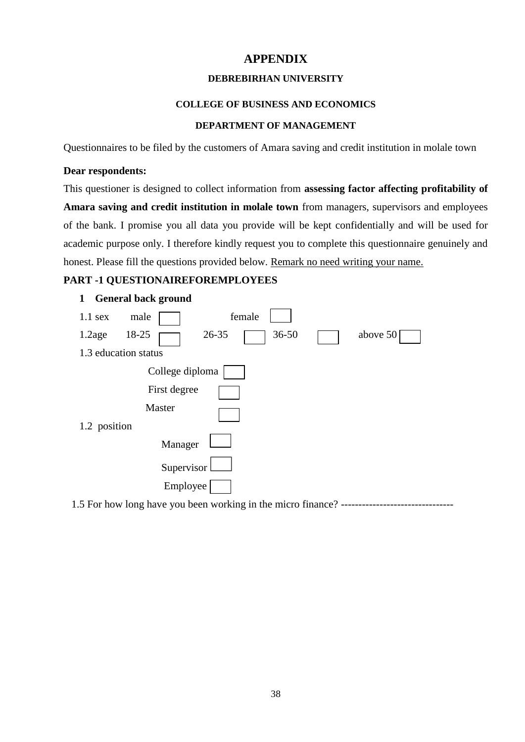#### **APPENDIX**

#### **DEBREBIRHAN UNIVERSITY**

#### **COLLEGE OF BUSINESS AND ECONOMICS**

#### **DEPARTMENT OF MANAGEMENT**

<span id="page-48-0"></span>Questionnaires to be filed by the customers of Amara saving and credit institution in molale town

#### **Dear respondents:**

This questioner is designed to collect information from **assessing factor affecting profitability of Amara saving and credit institution in molale town** from managers, supervisors and employees of the bank. I promise you all data you provide will be kept confidentially and will be used for academic purpose only. I therefore kindly request you to complete this questionnaire genuinely and honest. Please fill the questions provided below. Remark no need writing your name.

#### **PART -1 QUESTIONAIREFOREMPLOYEES**



1.5 For how long have you been working in the micro finance? --------------------------------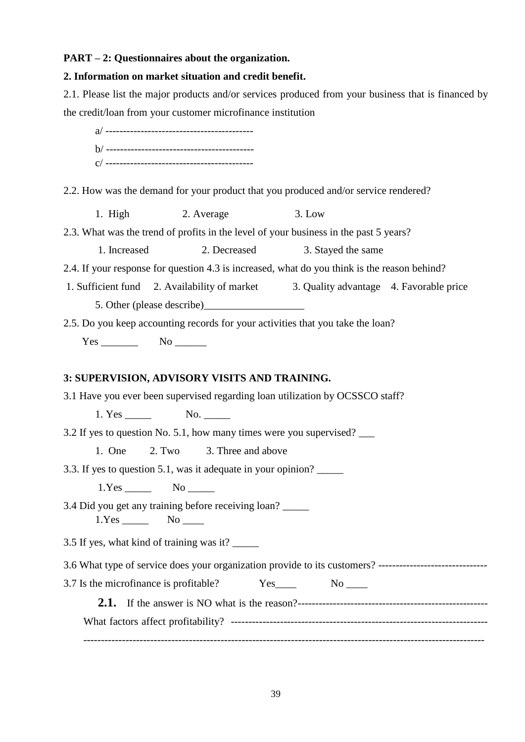#### **PART – 2: Questionnaires about the organization.**

#### **2. Information on market situation and credit benefit.**

2.1. Please list the major products and/or services produced from your business that is financed by the credit/loan from your customer microfinance institution

a/ ----------------------------------------- b/ ----------------------------------------- c/ ------------------------------------------

2.2. How was the demand for your product that you produced and/or service rendered?

1. High 2. Average 3. Low

2.3. What was the trend of profits in the level of your business in the past 5 years?

1. Increased 2. Decreased 3. Stayed the same

2.4. If your response for question 4.3 is increased, what do you think is the reason behind?

1. Sufficient fund 2. Availability of market 3. Quality advantage 4. Favorable price 5. Other (please describe)

2.5. Do you keep accounting records for your activities that you take the loan?

Yes \_\_\_\_\_\_\_\_\_ No \_\_\_\_\_\_\_

#### **3: SUPERVISION, ADVISORY VISITS AND TRAINING.**

3.1 Have you ever been supervised regarding loan utilization by OCSSCO staff?

1. Yes No.

3.2 If yes to question No. 5.1, how many times were you supervised? \_\_\_

1. One 2. Two 3. Three and above

3.3. If yes to question 5.1, was it adequate in your opinion? \_\_\_\_\_

1.Yes No

3.4 Did you get any training before receiving loan? \_\_\_\_\_

1.Yes \_\_\_\_\_\_\_ No \_\_\_\_\_

3.5 If yes, what kind of training was it? \_\_\_\_\_

3.6 What type of service does your organization provide to its customers? -------------------------------

3.7 Is the microfinance is profitable? Yes No

**2.1.** If the answer is NO what is the reason?------------------------------------------------------ What factors affect profitability? ------------------------------------------------------------------------- ------------------------------------------------------------------------------------------------------------------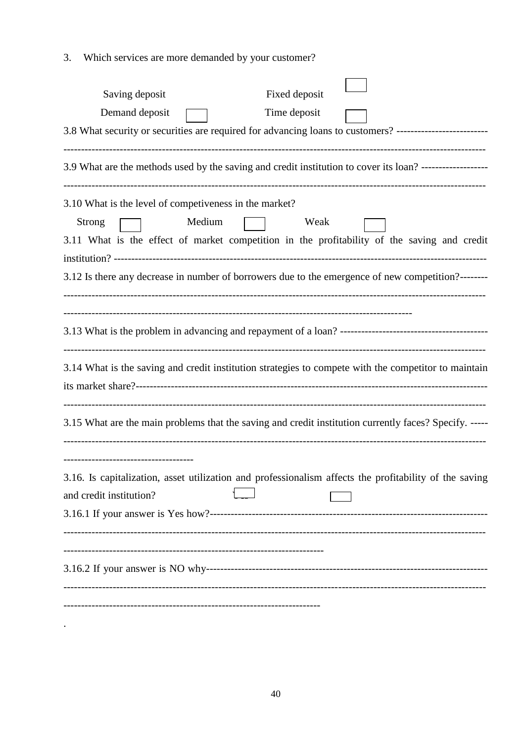3. Which services are more demanded by your customer?

| Fixed deposit<br>Saving deposit                                                                                                                                                          |
|------------------------------------------------------------------------------------------------------------------------------------------------------------------------------------------|
| Demand deposit<br>Time deposit                                                                                                                                                           |
| 3.8 What security or securities are required for advancing loans to customers? --------------------------                                                                                |
| 3.9 What are the methods used by the saving and credit institution to cover its loan? ------------------                                                                                 |
| 3.10 What is the level of competiveness in the market?<br>Medium<br><b>Strong</b><br>Weak<br>3.11 What is the effect of market competition in the profitability of the saving and credit |
| 3.12 Is there any decrease in number of borrowers due to the emergence of new competition?-------                                                                                        |
|                                                                                                                                                                                          |
| 3.14 What is the saving and credit institution strategies to compete with the competitor to maintain                                                                                     |
| 3.15 What are the main problems that the saving and credit institution currently faces? Specify. -----                                                                                   |
| ----------------------------<br>3.16. Is capitalization, asset utilization and professionalism affects the profitability of the saving<br>and credit institution?                        |
|                                                                                                                                                                                          |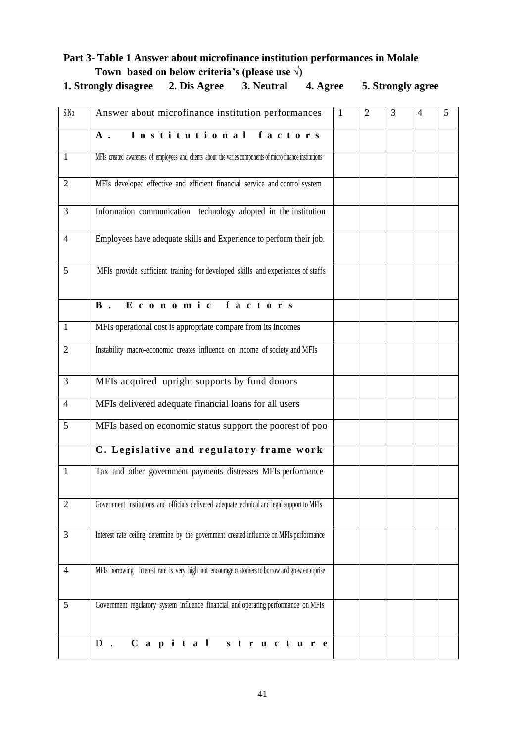### **Part 3- Table 1 Answer about microfinance institution performances in Molale Town based on below criteria's (please use √)**

| 1. Strongly disagree 2. Dis Agree 3. Neutral 4. Agree 5. Strongly agree |  |  |
|-------------------------------------------------------------------------|--|--|
|                                                                         |  |  |

| S.No           | Answer about microfinance institution performances                                                        | $\mathbf{1}$ | $\overline{2}$ | 3 | 4 | 5 |
|----------------|-----------------------------------------------------------------------------------------------------------|--------------|----------------|---|---|---|
|                | Institutional factors<br>$A$ .                                                                            |              |                |   |   |   |
| $\mathbf{1}$   | MFIs created awareness of employees and clients about the varies components of micro finance institutions |              |                |   |   |   |
| $\overline{2}$ | MFIs developed effective and efficient financial service and control system                               |              |                |   |   |   |
| 3              | Information communication technology adopted in the institution                                           |              |                |   |   |   |
| $\overline{4}$ | Employees have adequate skills and Experience to perform their job.                                       |              |                |   |   |   |
| 5              | MFIs provide sufficient training for developed skills and experiences of staffs                           |              |                |   |   |   |
|                | Economic factors<br>$\mathbf{B}$ .                                                                        |              |                |   |   |   |
| $\mathbf{1}$   | MFIs operational cost is appropriate compare from its incomes                                             |              |                |   |   |   |
| $\overline{2}$ | Instability macro-economic creates influence on income of society and MFIs                                |              |                |   |   |   |
| 3              | MFIs acquired upright supports by fund donors                                                             |              |                |   |   |   |
| 4              | MFIs delivered adequate financial loans for all users                                                     |              |                |   |   |   |
| 5              | MFIs based on economic status support the poorest of poo                                                  |              |                |   |   |   |
|                | C. Legislative and regulatory frame work                                                                  |              |                |   |   |   |
| 1              | Tax and other government payments distresses MFIs performance                                             |              |                |   |   |   |
| $\overline{2}$ | Government institutions and officials delivered adequate technical and legal support to MFIs              |              |                |   |   |   |
| $\overline{3}$ | Interest rate ceiling determine by the government created influence on MFIs performance                   |              |                |   |   |   |
| $\overline{4}$ | MFIs borrowing Interest rate is very high not encourage customers to borrow and grow enterprise           |              |                |   |   |   |
| 5              | Government regulatory system influence financial and operating performance on MFIs                        |              |                |   |   |   |
|                | Capital structure<br>$D$ .                                                                                |              |                |   |   |   |